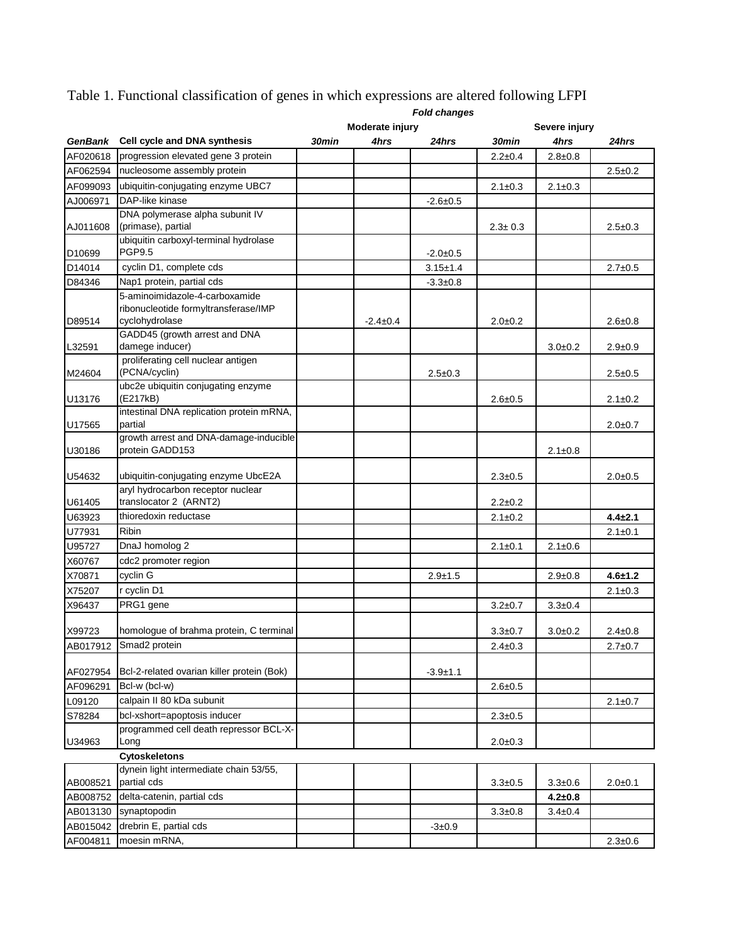|                |                                                             | <b>Fold changes</b> |                 |                |               |               |               |  |
|----------------|-------------------------------------------------------------|---------------------|-----------------|----------------|---------------|---------------|---------------|--|
|                |                                                             |                     | Moderate injury |                |               | Severe injury |               |  |
| <b>GenBank</b> | Cell cycle and DNA synthesis                                | 30min               | 4hrs            | 24hrs          | 30min         | 4hrs          | 24hrs         |  |
| AF020618       | progression elevated gene 3 protein                         |                     |                 |                | $2.2 \pm 0.4$ | $2.8 \pm 0.8$ |               |  |
| AF062594       | nucleosome assembly protein                                 |                     |                 |                |               |               | $2.5 \pm 0.2$ |  |
| AF099093       | ubiquitin-conjugating enzyme UBC7                           |                     |                 |                | $2.1 \pm 0.3$ | $2.1 \pm 0.3$ |               |  |
| AJ006971       | DAP-like kinase                                             |                     |                 | $-2.6+0.5$     |               |               |               |  |
|                | DNA polymerase alpha subunit IV                             |                     |                 |                |               |               |               |  |
| AJ011608       | (primase), partial                                          |                     |                 |                | $2.3 \pm 0.3$ |               | $2.5 \pm 0.3$ |  |
|                | ubiquitin carboxyl-terminal hydrolase                       |                     |                 |                |               |               |               |  |
| D10699         | PGP9.5                                                      |                     |                 | $-2.0+0.5$     |               |               |               |  |
| D14014         | cyclin D1, complete cds                                     |                     |                 | $3.15 + 1.4$   |               |               | $2.7 \pm 0.5$ |  |
| D84346         | Nap1 protein, partial cds                                   |                     |                 | $-3.3 \pm 0.8$ |               |               |               |  |
|                | 5-aminoimidazole-4-carboxamide                              |                     |                 |                |               |               |               |  |
|                | ribonucleotide formyltransferase/IMP                        |                     |                 |                |               |               |               |  |
| D89514         | cyclohydrolase                                              |                     | $-2.4 \pm 0.4$  |                | $2.0 + 0.2$   |               | $2.6 + 0.8$   |  |
|                | GADD45 (growth arrest and DNA                               |                     |                 |                |               |               |               |  |
| L32591         | damege inducer)                                             |                     |                 |                |               | $3.0 + 0.2$   | $2.9 + 0.9$   |  |
| M24604         | proliferating cell nuclear antigen<br>(PCNA/cyclin)         |                     |                 | $2.5 \pm 0.3$  |               |               | $2.5 \pm 0.5$ |  |
|                | ubc2e ubiquitin conjugating enzyme                          |                     |                 |                |               |               |               |  |
| U13176         | (E217kB)                                                    |                     |                 |                | $2.6 \pm 0.5$ |               | $2.1 \pm 0.2$ |  |
|                | intestinal DNA replication protein mRNA,                    |                     |                 |                |               |               |               |  |
| U17565         | partial                                                     |                     |                 |                |               |               | $2.0 + 0.7$   |  |
|                | growth arrest and DNA-damage-inducible                      |                     |                 |                |               |               |               |  |
| U30186         | protein GADD153                                             |                     |                 |                |               | $2.1 \pm 0.8$ |               |  |
|                |                                                             |                     |                 |                |               |               |               |  |
| U54632         | ubiquitin-conjugating enzyme UbcE2A                         |                     |                 |                | $2.3 \pm 0.5$ |               | $2.0 \pm 0.5$ |  |
| U61405         | aryl hydrocarbon receptor nuclear<br>translocator 2 (ARNT2) |                     |                 |                | $2.2 \pm 0.2$ |               |               |  |
|                | thioredoxin reductase                                       |                     |                 |                |               |               | $4.4 + 2.1$   |  |
| U63923         | <b>Ribin</b>                                                |                     |                 |                | $2.1 \pm 0.2$ |               |               |  |
| U77931         |                                                             |                     |                 |                |               |               | $2.1 \pm 0.1$ |  |
| U95727         | DnaJ homolog 2                                              |                     |                 |                | $2.1 \pm 0.1$ | $2.1 \pm 0.6$ |               |  |
| X60767         | cdc2 promoter region                                        |                     |                 |                |               |               |               |  |
| X70871         | cyclin G                                                    |                     |                 | $2.9 + 1.5$    |               | $2.9 \pm 0.8$ | $4.6 + 1.2$   |  |
| X75207         | r cyclin D1                                                 |                     |                 |                |               |               | $2.1 \pm 0.3$ |  |
| X96437         | PRG1 gene                                                   |                     |                 |                | $3.2 \pm 0.7$ | $3.3 \pm 0.4$ |               |  |
|                | homologue of brahma protein, C terminal                     |                     |                 |                |               |               |               |  |
| X99723         |                                                             |                     |                 |                | $3.3 \pm 0.7$ | $3.0+0.2$     | $2.4 \pm 0.8$ |  |
| AB017912       | Smad <sub>2</sub> protein                                   |                     |                 |                | 2.4±0.3       |               | $2.7 \pm 0.7$ |  |
| AF027954       | Bcl-2-related ovarian killer protein (Bok)                  |                     |                 | $-3.9 + 1.1$   |               |               |               |  |
| AF096291       | Bcl-w (bcl-w)                                               |                     |                 |                | $2.6 + 0.5$   |               |               |  |
| L09120         | calpain II 80 kDa subunit                                   |                     |                 |                |               |               | $2.1 \pm 0.7$ |  |
| S78284         | bcl-xshort=apoptosis inducer                                |                     |                 |                | $2.3 \pm 0.5$ |               |               |  |
|                | programmed cell death repressor BCL-X-                      |                     |                 |                |               |               |               |  |
| U34963         | Long                                                        |                     |                 |                | $2.0 + 0.3$   |               |               |  |
|                | <b>Cytoskeletons</b>                                        |                     |                 |                |               |               |               |  |
|                | dynein light intermediate chain 53/55,                      |                     |                 |                |               |               |               |  |
| AB008521       | partial cds                                                 |                     |                 |                | $3.3 + 0.5$   | $3.3 \pm 0.6$ | $2.0 + 0.1$   |  |
| AB008752       | delta-catenin, partial cds                                  |                     |                 |                |               | $4.2 \pm 0.8$ |               |  |
| AB013130       | synaptopodin                                                |                     |                 |                | $3.3 \pm 0.8$ | $3.4 \pm 0.4$ |               |  |
| AB015042       | drebrin E, partial cds                                      |                     |                 | $-3 \pm 0.9$   |               |               |               |  |
| AF004811       | moesin mRNA,                                                |                     |                 |                |               |               | $2.3 \pm 0.6$ |  |
|                |                                                             |                     |                 |                |               |               |               |  |

Table 1. Functional classification of genes in which expressions are altered following LFPI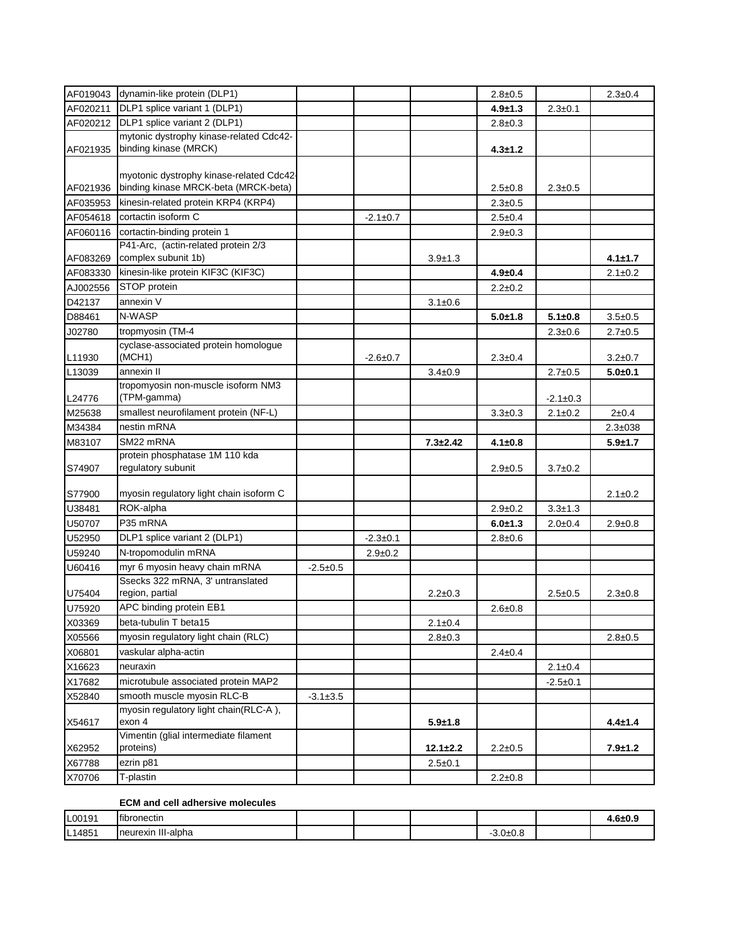| AF019043 | dynamin-like protein (DLP1)              |                |                |                | $2.8 \pm 0.5$ |                | $2.3 \pm 0.4$  |
|----------|------------------------------------------|----------------|----------------|----------------|---------------|----------------|----------------|
| AF020211 | DLP1 splice variant 1 (DLP1)             |                |                |                | $4.9 + 1.3$   | $2.3 \pm 0.1$  |                |
| AF020212 | DLP1 splice variant 2 (DLP1)             |                |                |                | $2.8 \pm 0.3$ |                |                |
|          | mytonic dystrophy kinase-related Cdc42-  |                |                |                |               |                |                |
| AF021935 | binding kinase (MRCK)                    |                |                |                | $4.3 \pm 1.2$ |                |                |
|          |                                          |                |                |                |               |                |                |
|          | myotonic dystrophy kinase-related Cdc42- |                |                |                |               |                |                |
| AF021936 | binding kinase MRCK-beta (MRCK-beta)     |                |                |                | $2.5 \pm 0.8$ | $2.3 \pm 0.5$  |                |
| AF035953 | kinesin-related protein KRP4 (KRP4)      |                |                |                | $2.3 \pm 0.5$ |                |                |
| AF054618 | cortactin isoform C                      |                | $-2.1 \pm 0.7$ |                | $2.5 \pm 0.4$ |                |                |
| AF060116 | cortactin-binding protein 1              |                |                |                | $2.9 \pm 0.3$ |                |                |
|          | P41-Arc, (actin-related protein 2/3      |                |                |                |               |                |                |
| AF083269 | complex subunit 1b)                      |                |                | $3.9 + 1.3$    |               |                | $4.1 \pm 1.7$  |
| AF083330 | kinesin-like protein KIF3C (KIF3C)       |                |                |                | $4.9 \pm 0.4$ |                | $2.1 \pm 0.2$  |
| AJ002556 | STOP protein                             |                |                |                | $2.2 \pm 0.2$ |                |                |
| D42137   | annexin V                                |                |                | $3.1 \pm 0.6$  |               |                |                |
| D88461   | N-WASP                                   |                |                |                | $5.0 + 1.8$   | $5.1 + 0.8$    | $3.5 + 0.5$    |
| J02780   | tropmyosin (TM-4                         |                |                |                |               | $2.3 \pm 0.6$  | $2.7 \pm 0.5$  |
|          | cyclase-associated protein homologue     |                |                |                |               |                |                |
| L11930   | (MCH1)                                   |                | $-2.6 \pm 0.7$ |                | $2.3 \pm 0.4$ |                | $3.2 \pm 0.7$  |
| L13039   | annexin II                               |                |                | $3.4 \pm 0.9$  |               | $2.7 \pm 0.5$  | $5.0 + 0.1$    |
|          | tropomyosin non-muscle isoform NM3       |                |                |                |               |                |                |
| L24776   | (TPM-gamma)                              |                |                |                |               | $-2.1 \pm 0.3$ |                |
| M25638   | smallest neurofilament protein (NF-L)    |                |                |                | $3.3 + 0.3$   | $2.1 \pm 0.2$  | $2 + 0.4$      |
| M34384   | nestin mRNA                              |                |                |                |               |                | $2.3 \pm 0.38$ |
| M83107   | SM22 mRNA                                |                |                | $7.3 + 2.42$   | 4.1±0.8       |                | $5.9 + 1.7$    |
|          | protein phosphatase 1M 110 kda           |                |                |                |               |                |                |
| S74907   | regulatory subunit                       |                |                |                | $2.9 \pm 0.5$ | $3.7 \pm 0.2$  |                |
| S77900   | myosin regulatory light chain isoform C  |                |                |                |               |                | $2.1 \pm 0.2$  |
| U38481   | ROK-alpha                                |                |                |                | $2.9 \pm 0.2$ | $3.3 + 1.3$    |                |
| U50707   | P35 mRNA                                 |                |                |                | $6.0 + 1.3$   | $2.0 + 0.4$    | $2.9 \pm 0.8$  |
| U52950   | DLP1 splice variant 2 (DLP1)             |                | $-2.3 \pm 0.1$ |                | $2.8 + 0.6$   |                |                |
| U59240   | N-tropomodulin mRNA                      |                | $2.9 + 0.2$    |                |               |                |                |
| U60416   | myr 6 myosin heavy chain mRNA            | $-2.5+0.5$     |                |                |               |                |                |
|          | Ssecks 322 mRNA, 3' untranslated         |                |                |                |               |                |                |
| U75404   | region, partial                          |                |                | $2.2 \pm 0.3$  |               | $2.5 + 0.5$    | $2.3 \pm 0.8$  |
| U75920   | APC binding protein EB1                  |                |                |                | $2.6 + 0.8$   |                |                |
| X03369   | beta-tubulin T beta15                    |                |                | $2.1 \pm 0.4$  |               |                |                |
| X05566   | myosin regulatory light chain (RLC)      |                |                | $2.8 \pm 0.3$  |               |                | $2.8 + 0.5$    |
| X06801   | vaskular alpha-actin                     |                |                |                | $2.4 \pm 0.4$ |                |                |
| X16623   | neuraxin                                 |                |                |                |               | $2.1 \pm 0.4$  |                |
| X17682   | microtubule associated protein MAP2      |                |                |                |               | $-2.5+0.1$     |                |
| X52840   | smooth muscle myosin RLC-B               | $-3.1 \pm 3.5$ |                |                |               |                |                |
|          | myosin regulatory light chain(RLC-A),    |                |                |                |               |                |                |
| X54617   | exon 4                                   |                |                | $5.9 + 1.8$    |               |                | $4.4 \pm 1.4$  |
|          | Vimentin (glial intermediate filament    |                |                |                |               |                |                |
| X62952   | proteins)                                |                |                | $12.1 \pm 2.2$ | $2.2 \pm 0.5$ |                | $7.9 + 1.2$    |
| X67788   | ezrin p81                                |                |                | $2.5 \pm 0.1$  |               |                |                |
| X70706   | T-plastin                                |                |                |                | $2.2 \pm 0.8$ |                |                |

## **ECM and cell adhersive molecules**

| L00191 | <b>Ifibronectin</b>         |  |         | 4.6±0.9 |
|--------|-----------------------------|--|---------|---------|
| L14851 | ,,,,<br>Ineurexin III-alpha |  | 3.0±0.8 |         |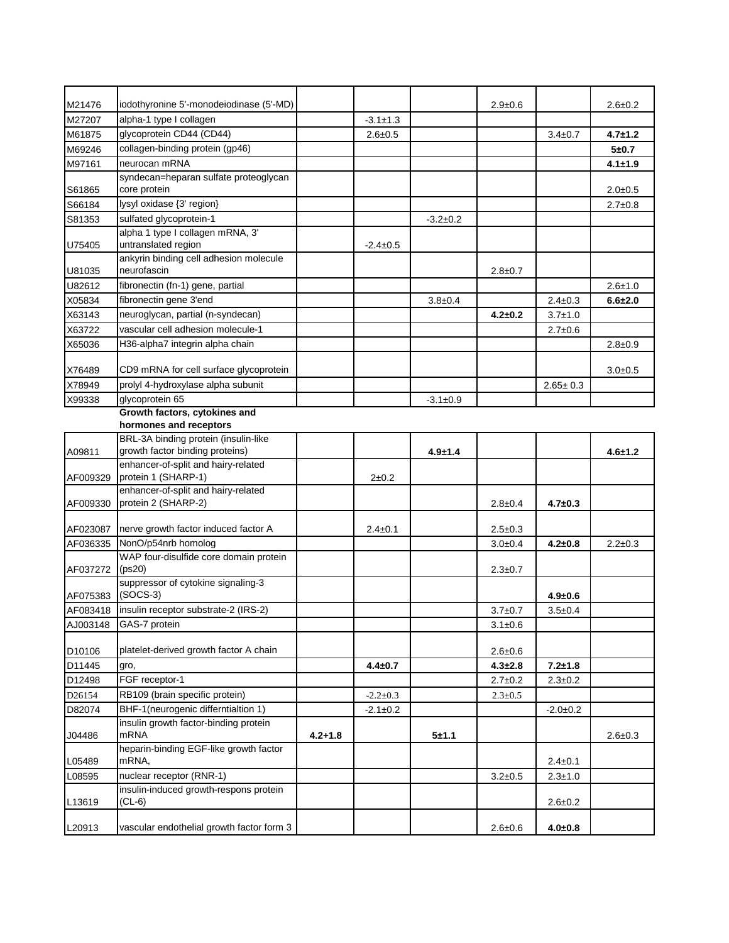| M21476   | iodothyronine 5'-monodeiodinase (5'-MD)                        |             |                |                | $2.9 \pm 0.6$ |                | $2.6 \pm 0.2$ |
|----------|----------------------------------------------------------------|-------------|----------------|----------------|---------------|----------------|---------------|
| M27207   | alpha-1 type I collagen                                        |             | $-3.1 \pm 1.3$ |                |               |                |               |
| M61875   | glycoprotein CD44 (CD44)                                       |             | $2.6 + 0.5$    |                |               | $3.4 \pm 0.7$  | $4.7 \pm 1.2$ |
| M69246   | collagen-binding protein (gp46)                                |             |                |                |               |                | $5 + 0.7$     |
| M97161   | neurocan mRNA                                                  |             |                |                |               |                | $4.1 \pm 1.9$ |
| S61865   | syndecan=heparan sulfate proteoglycan<br>core protein          |             |                |                |               |                | $2.0 + 0.5$   |
| S66184   | lysyl oxidase {3' region}                                      |             |                |                |               |                | $2.7 \pm 0.8$ |
| S81353   | sulfated glycoprotein-1                                        |             |                | $-3.2+0.2$     |               |                |               |
|          | alpha 1 type I collagen mRNA, 3'                               |             |                |                |               |                |               |
| U75405   | untranslated region                                            |             | $-2.4 \pm 0.5$ |                |               |                |               |
| U81035   | ankyrin binding cell adhesion molecule<br>neurofascin          |             |                |                | $2.8 \pm 0.7$ |                |               |
| U82612   | fibronectin (fn-1) gene, partial                               |             |                |                |               |                | $2.6 + 1.0$   |
| X05834   | fibronectin gene 3'end                                         |             |                | $3.8 + 0.4$    |               | $2.4 \pm 0.3$  | $6.6 + 2.0$   |
| X63143   | neuroglycan, partial (n-syndecan)                              |             |                |                | $4.2 \pm 0.2$ | $3.7 \pm 1.0$  |               |
| X63722   | vascular cell adhesion molecule-1                              |             |                |                |               | $2.7 \pm 0.6$  |               |
| X65036   | H36-alpha7 integrin alpha chain                                |             |                |                |               |                | $2.8 \pm 0.9$ |
|          |                                                                |             |                |                |               |                |               |
| X76489   | CD9 mRNA for cell surface glycoprotein                         |             |                |                |               |                | $3.0 + 0.5$   |
| X78949   | prolyl 4-hydroxylase alpha subunit                             |             |                |                |               | $2.65 \pm 0.3$ |               |
| X99338   | glycoprotein 65                                                |             |                | $-3.1 \pm 0.9$ |               |                |               |
|          | Growth factors, cytokines and                                  |             |                |                |               |                |               |
|          | hormones and receptors<br>BRL-3A binding protein (insulin-like |             |                |                |               |                |               |
| A09811   | growth factor binding proteins)                                |             |                | $4.9 \pm 1.4$  |               |                | $4.6 + 1.2$   |
| AF009329 | enhancer-of-split and hairy-related<br>protein 1 (SHARP-1)     |             | $2+0.2$        |                |               |                |               |
|          | enhancer-of-split and hairy-related                            |             |                |                |               |                |               |
| AF009330 | protein 2 (SHARP-2)                                            |             |                |                | $2.8 \pm 0.4$ | $4.7 \pm 0.3$  |               |
|          |                                                                |             |                |                |               |                |               |
| AF023087 | nerve growth factor induced factor A                           |             | $2.4 \pm 0.1$  |                | $2.5 \pm 0.3$ |                |               |
| AF036335 | NonO/p54nrb homolog<br>WAP four-disulfide core domain protein  |             |                |                | $3.0 + 0.4$   | $4.2 \pm 0.8$  | $2.2 \pm 0.3$ |
| AF037272 | (ps20)                                                         |             |                |                | $2.3 \pm 0.7$ |                |               |
| AF075383 | suppressor of cytokine signaling-3<br>$(SOCS-3)$               |             |                |                |               | $4.9 \pm 0.6$  |               |
| AF083418 | insulin receptor substrate-2 (IRS-2)                           |             |                |                |               | $3.5 \pm 0.4$  |               |
|          | GAS-7 protein                                                  |             |                |                | $3.7 \pm 0.7$ |                |               |
| AJ003148 |                                                                |             |                |                | $3.1 \pm 0.6$ |                |               |
| D10106   | platelet-derived growth factor A chain                         |             |                |                | $2.6 \pm 0.6$ |                |               |
| D11445   | gro,                                                           |             | $4.4 \pm 0.7$  |                | $4.3 + 2.8$   | $7.2 + 1.8$    |               |
| D12498   | FGF receptor-1                                                 |             |                |                | $2.7 \pm 0.2$ | $2.3 \pm 0.2$  |               |
| D26154   | RB109 (brain specific protein)                                 |             | $-2.2 \pm 0.3$ |                | $2.3 \pm 0.5$ |                |               |
| D82074   | BHF-1(neurogenic differntialtion 1)                            |             | $-2.1 \pm 0.2$ |                |               | $-2.0+0.2$     |               |
|          | insulin growth factor-binding protein                          |             |                |                |               |                |               |
| J04486   | <b>mRNA</b>                                                    | $4.2 + 1.8$ |                | $5 + 1.1$      |               |                | $2.6 + 0.3$   |
| L05489   | heparin-binding EGF-like growth factor<br>mRNA,                |             |                |                |               | $2.4 \pm 0.1$  |               |
| L08595   | nuclear receptor (RNR-1)                                       |             |                |                | $3.2 \pm 0.5$ | $2.3 \pm 1.0$  |               |
|          | insulin-induced growth-respons protein                         |             |                |                |               |                |               |
| L13619   | $(CL-6)$                                                       |             |                |                |               | 2.6±0.2        |               |
| L20913   | vascular endothelial growth factor form 3                      |             |                |                | $2.6 + 0.6$   | $4.0 + 0.8$    |               |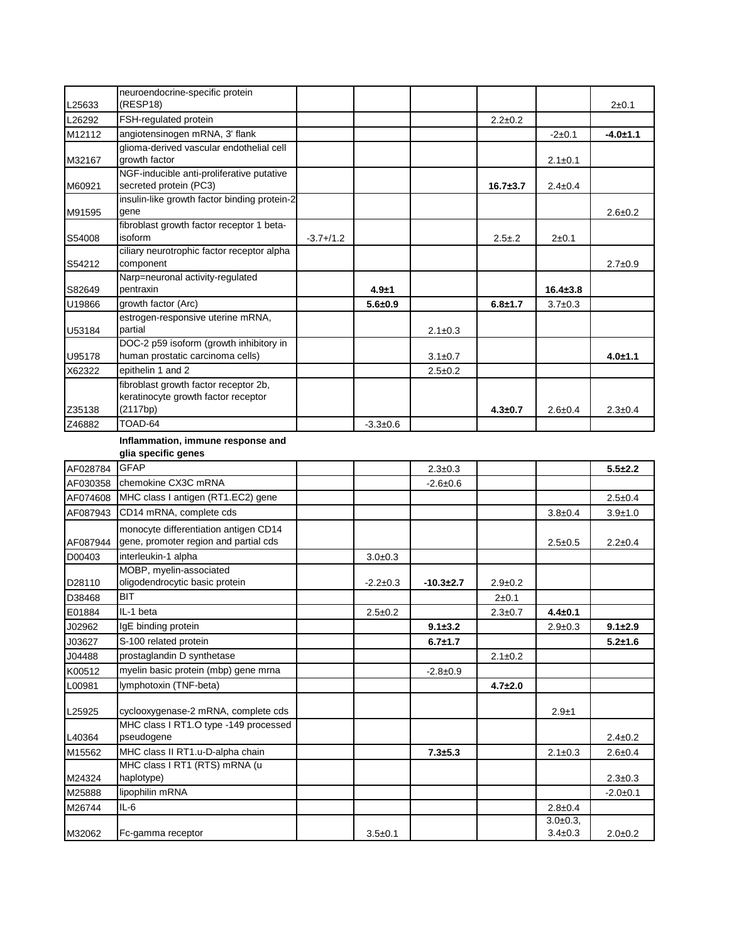| L25633   | neuroendocrine-specific protein<br>(RESP18)                                 |              |                |                |               |                | $2+0.1$       |
|----------|-----------------------------------------------------------------------------|--------------|----------------|----------------|---------------|----------------|---------------|
| L26292   | FSH-regulated protein                                                       |              |                |                | $2.2 \pm 0.2$ |                |               |
| M12112   | angiotensinogen mRNA, 3' flank                                              |              |                |                |               | $-2+0.1$       | $-4.0 + 1.1$  |
|          | glioma-derived vascular endothelial cell                                    |              |                |                |               |                |               |
| M32167   | growth factor                                                               |              |                |                |               | $2.1 \pm 0.1$  |               |
|          | NGF-inducible anti-proliferative putative                                   |              |                |                |               |                |               |
| M60921   | secreted protein (PC3)                                                      |              |                |                | $16.7 + 3.7$  | $2.4 \pm 0.4$  |               |
| M91595   | insulin-like growth factor binding protein-2<br>gene                        |              |                |                |               |                | $2.6 \pm 0.2$ |
|          | fibroblast growth factor receptor 1 beta-                                   |              |                |                |               |                |               |
| S54008   | isoform                                                                     | $-3.7 + 1.2$ |                |                | $2.5 + .2$    | $2 + 0.1$      |               |
|          | ciliary neurotrophic factor receptor alpha                                  |              |                |                |               |                |               |
| S54212   | component                                                                   |              |                |                |               |                | $2.7 \pm 0.9$ |
|          | Narp=neuronal activity-regulated                                            |              |                |                |               |                |               |
| S82649   | pentraxin                                                                   |              | $4.9 + 1$      |                |               | $16.4 \pm 3.8$ |               |
| U19866   | growth factor (Arc)                                                         |              | $5.6 + 0.9$    |                | $6.8 + 1.7$   | $3.7 + 0.3$    |               |
|          | estrogen-responsive uterine mRNA,                                           |              |                |                |               |                |               |
| U53184   | partial                                                                     |              |                | $2.1 \pm 0.3$  |               |                |               |
| U95178   | DOC-2 p59 isoform (growth inhibitory in<br>human prostatic carcinoma cells) |              |                | $3.1 \pm 0.7$  |               |                | $4.0 + 1.1$   |
| X62322   | epithelin 1 and 2                                                           |              |                | $2.5 \pm 0.2$  |               |                |               |
|          | fibroblast growth factor receptor 2b,                                       |              |                |                |               |                |               |
|          | keratinocyte growth factor receptor                                         |              |                |                |               |                |               |
| Z35138   | (2117bp)                                                                    |              |                |                | $4.3 + 0.7$   | $2.6 + 0.4$    | $2.3 \pm 0.4$ |
| Z46882   | TOAD-64                                                                     |              | $-3.3 \pm 0.6$ |                |               |                |               |
|          | Inflammation, immune response and                                           |              |                |                |               |                |               |
|          | glia specific genes                                                         |              |                |                |               |                |               |
| AF028784 | <b>GFAP</b>                                                                 |              |                | $2.3 + 0.3$    |               |                | $5.5 + 2.2$   |
| AF030358 | chemokine CX3C mRNA                                                         |              |                | $-2.6 \pm 0.6$ |               |                |               |
| AF074608 | MHC class I antigen (RT1.EC2) gene                                          |              |                |                |               |                | $2.5 \pm 0.4$ |
| AF087943 | CD14 mRNA, complete cds                                                     |              |                |                |               | $3.8 + 0.4$    | $3.9 + 1.0$   |
|          | monocyte differentiation antigen CD14                                       |              |                |                |               |                |               |
| AF087944 | gene, promoter region and partial cds                                       |              |                |                |               | $2.5 + 0.5$    | $2.2 \pm 0.4$ |
| D00403   | interleukin-1 alpha                                                         |              | $3.0 + 0.3$    |                |               |                |               |
|          | MOBP, myelin-associated                                                     |              |                |                |               |                |               |
| D28110   | oligodendrocytic basic protein                                              |              | $-2.2 \pm 0.3$ | $-10.3 + 2.7$  | $2.9 \pm 0.2$ |                |               |
| D38468   | <b>BIT</b>                                                                  |              |                |                | $2 + 0.1$     |                |               |
| E01884   | IL-1 beta                                                                   |              | $2.5 \pm 0.2$  |                | $2.3 \pm 0.7$ | $4.4 \pm 0.1$  |               |
| J02962   | IgE binding protein                                                         |              |                | $9.1 + 3.2$    |               | $2.9 \pm 0.3$  | $9.1 \pm 2.9$ |
| J03627   | S-100 related protein                                                       |              |                | $6.7 + 1.7$    |               |                | $5.2 + 1.6$   |
| J04488   | prostaglandin D synthetase                                                  |              |                |                | $2.1 \pm 0.2$ |                |               |

| 1904400 | $P$ $O$ $S$ $O$ $O$ $H$ $O$ $H$ $O$ $H$ $O$ $H$ $O$ $H$ $O$ $H$ $O$ $H$ $O$ $H$ $O$ $H$ $O$ $H$ $O$ $H$ $O$ $H$ $O$ $H$ $O$ $H$ $O$ $H$ $O$ $H$ $O$ $H$ $O$ $H$ $O$ $H$ $O$ $H$ $H$ $O$ $H$ $O$ $H$ $O$ $H$ $H$ $O$ $H$ $H$ $O$ $H$ $H$ $O$ $H$ $H$ $O$ $H$ $H$ $H$ $O$ $H$ $H$ $H$ $H$ $H$ $H$ $H$ $H$ |               |             | 2.120Z        |                            |               |
|---------|---------------------------------------------------------------------------------------------------------------------------------------------------------------------------------------------------------------------------------------------------------------------------------------------------------|---------------|-------------|---------------|----------------------------|---------------|
| K00512  | myelin basic protein (mbp) gene mrna                                                                                                                                                                                                                                                                    |               | $-2.8+0.9$  |               |                            |               |
| L00981  | lymphotoxin (TNF-beta)                                                                                                                                                                                                                                                                                  |               |             | $4.7 \pm 2.0$ |                            |               |
| L25925  | cyclooxygenase-2 mRNA, complete cds                                                                                                                                                                                                                                                                     |               |             |               | $2.9 + 1$                  |               |
| L40364  | MHC class I RT1.O type -149 processed<br>pseudogene                                                                                                                                                                                                                                                     |               |             |               |                            | $2.4 \pm 0.2$ |
| M15562  | MHC class II RT1.u-D-alpha chain                                                                                                                                                                                                                                                                        |               | $7.3 + 5.3$ |               | $2.1 \pm 0.3$              | $2.6 \pm 0.4$ |
| M24324  | MHC class I RT1 (RTS) mRNA (u<br>haplotype)                                                                                                                                                                                                                                                             |               |             |               |                            | $2.3 \pm 0.3$ |
| M25888  | lipophilin mRNA                                                                                                                                                                                                                                                                                         |               |             |               |                            | $-2.0+0.1$    |
| M26744  | IL-6                                                                                                                                                                                                                                                                                                    |               |             |               | $2.8 \pm 0.4$              |               |
| M32062  | Fc-gamma receptor                                                                                                                                                                                                                                                                                       | $3.5 \pm 0.1$ |             |               | $3.0+0.3$<br>$3.4 \pm 0.3$ | $2.0+0.2$     |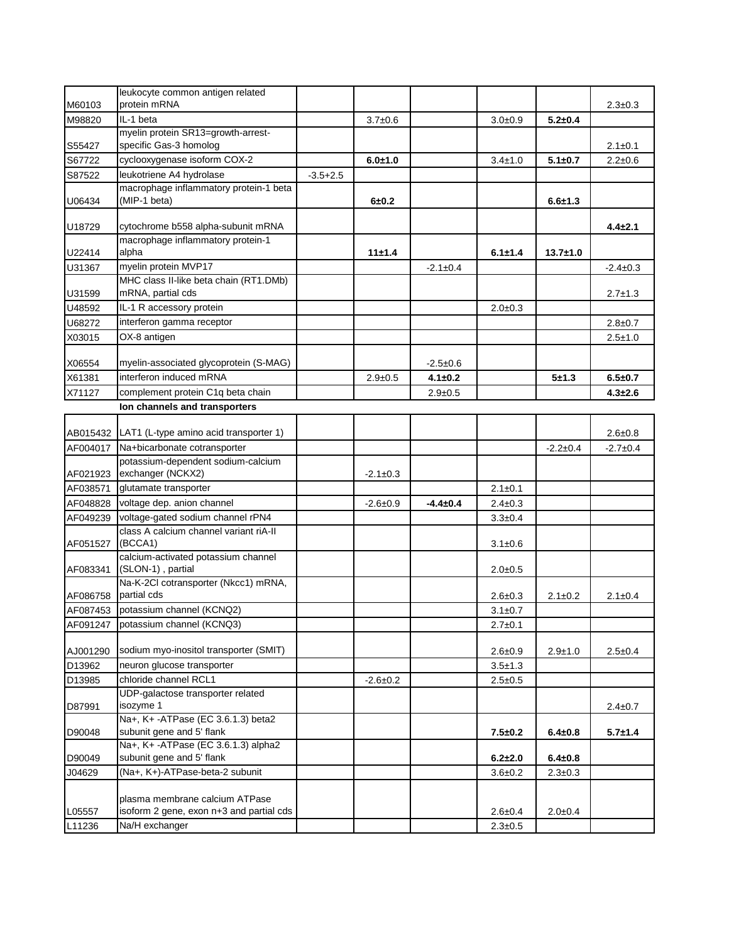|          | leukocyte common antigen related                                 |              |                |                |               |               |                |
|----------|------------------------------------------------------------------|--------------|----------------|----------------|---------------|---------------|----------------|
| M60103   | protein mRNA                                                     |              |                |                |               |               | $2.3 \pm 0.3$  |
| M98820   | IL-1 beta                                                        |              | $3.7 \pm 0.6$  |                | $3.0 + 0.9$   | $5.2 + 0.4$   |                |
|          | myelin protein SR13=growth-arrest-                               |              |                |                |               |               |                |
| S55427   | specific Gas-3 homolog                                           |              |                |                |               |               | $2.1 \pm 0.1$  |
| S67722   | cyclooxygenase isoform COX-2                                     |              | $6.0 + 1.0$    |                | $3.4 \pm 1.0$ | $5.1 \pm 0.7$ | $2.2 \pm 0.6$  |
| S87522   | leukotriene A4 hydrolase                                         | $-3.5 + 2.5$ |                |                |               |               |                |
|          | macrophage inflammatory protein-1 beta                           |              |                |                |               |               |                |
| U06434   | (MIP-1 beta)                                                     |              | $6 + 0.2$      |                |               | $6.6 + 1.3$   |                |
| U18729   | cytochrome b558 alpha-subunit mRNA                               |              |                |                |               |               | $4.4 \pm 2.1$  |
| U22414   | macrophage inflammatory protein-1<br>alpha                       |              | 11±1.4         |                | $6.1 \pm 1.4$ | $13.7 + 1.0$  |                |
| U31367   | myelin protein MVP17                                             |              |                | $-2.1 \pm 0.4$ |               |               | $-2.4 \pm 0.3$ |
|          | MHC class II-like beta chain (RT1.DMb)                           |              |                |                |               |               |                |
| U31599   | mRNA, partial cds                                                |              |                |                |               |               | $2.7 \pm 1.3$  |
| U48592   | IL-1 R accessory protein                                         |              |                |                | $2.0 + 0.3$   |               |                |
| U68272   | interferon gamma receptor                                        |              |                |                |               |               | $2.8 \pm 0.7$  |
| X03015   | OX-8 antigen                                                     |              |                |                |               |               | $2.5 \pm 1.0$  |
|          |                                                                  |              |                |                |               |               |                |
| X06554   | myelin-associated glycoprotein (S-MAG)                           |              |                | $-2.5+0.6$     |               |               |                |
| X61381   | interferon induced mRNA                                          |              | $2.9 + 0.5$    | $4.1 \pm 0.2$  |               | $5 + 1.3$     | $6.5 + 0.7$    |
| X71127   | complement protein C1q beta chain                                |              |                | $2.9 \pm 0.5$  |               |               | $4.3 + 2.6$    |
|          | Ion channels and transporters                                    |              |                |                |               |               |                |
|          |                                                                  |              |                |                |               |               |                |
| AB015432 | LAT1 (L-type amino acid transporter 1)                           |              |                |                |               |               | $2.6 + 0.8$    |
| AF004017 | Na+bicarbonate cotransporter                                     |              |                |                |               | $-2.2+0.4$    | $-2.7+0.4$     |
| AF021923 | potassium-dependent sodium-calcium<br>exchanger (NCKX2)          |              | $-2.1 \pm 0.3$ |                |               |               |                |
| AF038571 | glutamate transporter                                            |              |                |                | $2.1 \pm 0.1$ |               |                |
| AF048828 | voltage dep. anion channel                                       |              | $-2.6+0.9$     | $-4.4 \pm 0.4$ | $2.4 \pm 0.3$ |               |                |
| AF049239 | voltage-gated sodium channel rPN4                                |              |                |                |               |               |                |
|          | class A calcium channel variant riA-II                           |              |                |                | $3.3 + 0.4$   |               |                |
| AF051527 | (BCCA1)                                                          |              |                |                | $3.1 \pm 0.6$ |               |                |
| AF083341 | calcium-activated potassium channel<br>(SLON-1), partial         |              |                |                | $2.0 + 0.5$   |               |                |
|          | Na-K-2Cl cotransporter (Nkcc1) mRNA,                             |              |                |                |               |               |                |
| AF086758 | partial cds                                                      |              |                |                | $2.6 \pm 0.3$ | $2.1 \pm 0.2$ | $2.1 \pm 0.4$  |
| AF087453 | potassium channel (KCNQ2)                                        |              |                |                | $3.1 \pm 0.7$ |               |                |
| AF091247 | potassium channel (KCNQ3)                                        |              |                |                | $2.7 \pm 0.1$ |               |                |
|          |                                                                  |              |                |                |               |               |                |
| AJ001290 | sodium myo-inositol transporter (SMIT)                           |              |                |                | $2.6 + 0.9$   | $2.9 + 1.0$   | $2.5 \pm 0.4$  |
| D13962   | neuron glucose transporter                                       |              |                |                | $3.5 \pm 1.3$ |               |                |
| D13985   | chloride channel RCL1                                            |              | $-2.6 \pm 0.2$ |                | $2.5 \pm 0.5$ |               |                |
| D87991   | UDP-galactose transporter related<br>isozyme 1                   |              |                |                |               |               | $2.4 \pm 0.7$  |
|          | Na+, K+-ATPase (EC 3.6.1.3) beta2                                |              |                |                |               |               |                |
| D90048   | subunit gene and 5' flank                                        |              |                |                | $7.5 + 0.2$   | $6.4 \pm 0.8$ | $5.7 \pm 1.4$  |
| D90049   | Na+, K+ -ATPase (EC 3.6.1.3) alpha2<br>subunit gene and 5' flank |              |                |                | $6.2 + 2.0$   | $6.4 \pm 0.8$ |                |
| J04629   | (Na+, K+)-ATPase-beta-2 subunit                                  |              |                |                | $3.6 + 0.2$   | $2.3 \pm 0.3$ |                |
|          | plasma membrane calcium ATPase                                   |              |                |                |               |               |                |
| L05557   | isoform 2 gene, exon n+3 and partial cds                         |              |                |                | $2.6 + 0.4$   | $2.0 + 0.4$   |                |
| L11236   | Na/H exchanger                                                   |              |                |                | $2.3 \pm 0.5$ |               |                |
|          |                                                                  |              |                |                |               |               |                |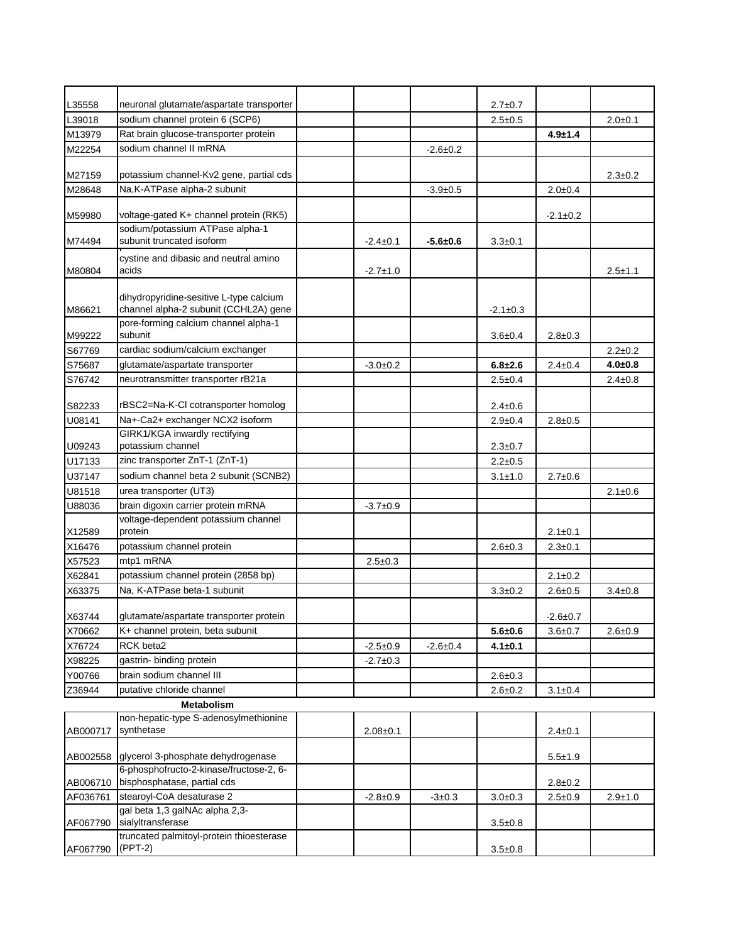| L35558   | neuronal glutamate/aspartate transporter                                         |                |                | $2.7 \pm 0.7$  |                |               |
|----------|----------------------------------------------------------------------------------|----------------|----------------|----------------|----------------|---------------|
| L39018   | sodium channel protein 6 (SCP6)                                                  |                |                | $2.5 \pm 0.5$  |                | $2.0 + 0.1$   |
| M13979   | Rat brain glucose-transporter protein                                            |                |                |                | $4.9 + 1.4$    |               |
| M22254   | sodium channel II mRNA                                                           |                | $-2.6 \pm 0.2$ |                |                |               |
| M27159   | potassium channel-Kv2 gene, partial cds                                          |                |                |                |                | $2.3 \pm 0.2$ |
| M28648   | Na, K-ATPase alpha-2 subunit                                                     |                | $-3.9+0.5$     |                | $2.0 + 0.4$    |               |
|          |                                                                                  |                |                |                |                |               |
| M59980   | voltage-gated K+ channel protein (RK5)<br>sodium/potassium ATPase alpha-1        |                |                |                | $-2.1 \pm 0.2$ |               |
| M74494   | subunit truncated isoform                                                        | $-2.4 \pm 0.1$ | $-5.6 + 0.6$   | $3.3 + 0.1$    |                |               |
| M80804   | cystine and dibasic and neutral amino<br>acids                                   | $-2.7 \pm 1.0$ |                |                |                | $2.5 + 1.1$   |
| M86621   | dihydropyridine-sesitive L-type calcium<br>channel alpha-2 subunit (CCHL2A) gene |                |                | $-2.1 \pm 0.3$ |                |               |
| M99222   | pore-forming calcium channel alpha-1<br>subunit                                  |                |                | $3.6 + 0.4$    | $2.8 \pm 0.3$  |               |
| S67769   | cardiac sodium/calcium exchanger                                                 |                |                |                |                | $2.2 \pm 0.2$ |
| S75687   | glutamate/aspartate transporter                                                  | $-3.0+0.2$     |                | $6.8 + 2.6$    | $2.4 \pm 0.4$  | $4.0 + 0.8$   |
| S76742   | neurotransmitter transporter rB21a                                               |                |                | $2.5 \pm 0.4$  |                | $2.4 \pm 0.8$ |
| S82233   | rBSC2=Na-K-CI cotransporter homolog                                              |                |                | $2.4 \pm 0.6$  |                |               |
| U08141   | Na+-Ca2+ exchanger NCX2 isoform                                                  |                |                | $2.9 \pm 0.4$  | $2.8 + 0.5$    |               |
|          | GIRK1/KGA inwardly rectifying                                                    |                |                |                |                |               |
| U09243   | potassium channel                                                                |                |                | $2.3 \pm 0.7$  |                |               |
| U17133   | zinc transporter ZnT-1 (ZnT-1)                                                   |                |                | $2.2 \pm 0.5$  |                |               |
| U37147   | sodium channel beta 2 subunit (SCNB2)                                            |                |                | $3.1 \pm 1.0$  | $2.7 \pm 0.6$  |               |
| U81518   | urea transporter (UT3)                                                           |                |                |                |                | $2.1 \pm 0.6$ |
| U88036   | brain digoxin carrier protein mRNA                                               | $-3.7+0.9$     |                |                |                |               |
| X12589   | voltage-dependent potassium channel<br>protein                                   |                |                |                | $2.1 \pm 0.1$  |               |
| X16476   | potassium channel protein                                                        |                |                | $2.6 \pm 0.3$  | $2.3 + 0.1$    |               |
| X57523   | mtp1 mRNA                                                                        | $2.5 \pm 0.3$  |                |                |                |               |
| X62841   | potassium channel protein (2858 bp)                                              |                |                |                | $2.1 \pm 0.2$  |               |
| X63375   | Na, K-ATPase beta-1 subunit                                                      |                |                | $3.3 \pm 0.2$  | $2.6 + 0.5$    | $3.4 \pm 0.8$ |
| X63744   | glutamate/aspartate transporter protein                                          |                |                |                | $-2.6 \pm 0.7$ |               |
| X70662   | K+ channel protein, beta subunit                                                 |                |                | $5.6 + 0.6$    | $3.6 + 0.7$    | $2.6 + 0.9$   |
| X76724   | RCK beta2                                                                        | $-2.5 \pm 0.9$ | $-2.6 \pm 0.4$ | $4.1 \pm 0.1$  |                |               |
| X98225   | gastrin- binding protein                                                         | $-2.7+0.3$     |                |                |                |               |
| Y00766   | brain sodium channel III                                                         |                |                | $2.6 \pm 0.3$  |                |               |
| Z36944   | putative chloride channel                                                        |                |                | $2.6 + 0.2$    | $3.1 \pm 0.4$  |               |
|          | <b>Metabolism</b>                                                                |                |                |                |                |               |
|          | non-hepatic-type S-adenosylmethionine                                            |                |                |                |                |               |
| AB000717 | synthetase                                                                       | $2.08 + 0.1$   |                |                | $2.4 \pm 0.1$  |               |
| AB002558 | glycerol 3-phosphate dehydrogenase                                               |                |                |                | $5.5 \pm 1.9$  |               |
| AB006710 | 6-phosphofructo-2-kinase/fructose-2, 6-<br>bisphosphatase, partial cds           |                |                |                | $2.8 \pm 0.2$  |               |
| AF036761 | stearoyl-CoA desaturase 2                                                        | $-2.8 \pm 0.9$ | $-3 \pm 0.3$   | $3.0 + 0.3$    | $2.5 \pm 0.9$  | $2.9 + 1.0$   |
|          | gal beta 1,3 galNAc alpha 2,3-                                                   |                |                |                |                |               |
| AF067790 | sialyltransferase<br>truncated palmitoyl-protein thioesterase                    |                |                | $3.5 \pm 0.8$  |                |               |
| AF067790 | (PPT-2)                                                                          |                |                | $3.5 \pm 0.8$  |                |               |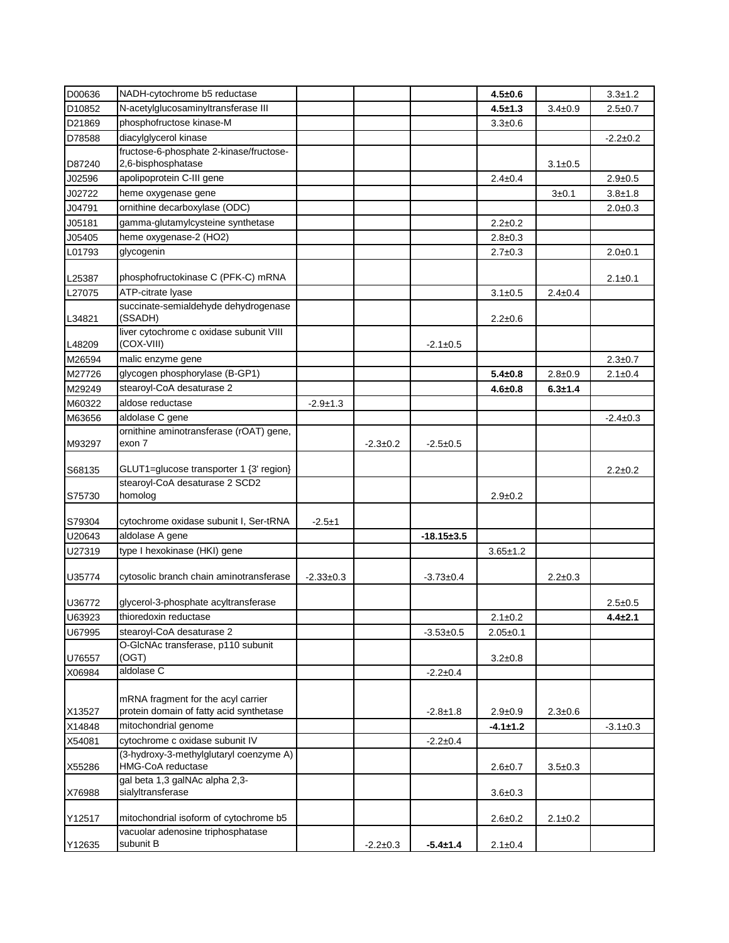| D00636 | NADH-cytochrome b5 reductase                                                  |                |                |                  | $4.5 + 0.6$    |               | $3.3 + 1.2$    |
|--------|-------------------------------------------------------------------------------|----------------|----------------|------------------|----------------|---------------|----------------|
| D10852 | N-acetylglucosaminyltransferase III                                           |                |                |                  | $4.5 + 1.3$    | $3.4 \pm 0.9$ | $2.5 \pm 0.7$  |
| D21869 | phosphofructose kinase-M                                                      |                |                |                  | $3.3 + 0.6$    |               |                |
| D78588 | diacylglycerol kinase                                                         |                |                |                  |                |               | $-2.2 \pm 0.2$ |
|        | fructose-6-phosphate 2-kinase/fructose-                                       |                |                |                  |                |               |                |
| D87240 | 2,6-bisphosphatase                                                            |                |                |                  |                | $3.1 \pm 0.5$ |                |
| J02596 | apolipoprotein C-III gene                                                     |                |                |                  | $2.4 \pm 0.4$  |               | $2.9 + 0.5$    |
| J02722 | heme oxygenase gene                                                           |                |                |                  |                | 3±0.1         | $3.8 + 1.8$    |
| J04791 | ornithine decarboxylase (ODC)                                                 |                |                |                  |                |               | $2.0 \pm 0.3$  |
| J05181 | gamma-glutamylcysteine synthetase                                             |                |                |                  | $2.2 \pm 0.2$  |               |                |
| J05405 | heme oxygenase-2 (HO2)                                                        |                |                |                  | $2.8 \pm 0.3$  |               |                |
| L01793 | glycogenin                                                                    |                |                |                  | $2.7 \pm 0.3$  |               | $2.0 + 0.1$    |
| L25387 | phosphofructokinase C (PFK-C) mRNA                                            |                |                |                  |                |               | $2.1 \pm 0.1$  |
| L27075 | ATP-citrate lyase                                                             |                |                |                  | $3.1 \pm 0.5$  | $2.4 \pm 0.4$ |                |
| L34821 | succinate-semialdehyde dehydrogenase<br>(SSADH)                               |                |                |                  | $2.2 \pm 0.6$  |               |                |
| L48209 | liver cytochrome c oxidase subunit VIII<br>(COX-VIII)                         |                |                | $-2.1 \pm 0.5$   |                |               |                |
| M26594 | malic enzyme gene                                                             |                |                |                  |                |               | $2.3 \pm 0.7$  |
| M27726 | glycogen phosphorylase (B-GP1)                                                |                |                |                  | $5.4 \pm 0.8$  | $2.8 + 0.9$   | $2.1 \pm 0.4$  |
| M29249 | stearoyl-CoA desaturase 2                                                     |                |                |                  | $4.6 \pm 0.8$  | $6.3 + 1.4$   |                |
| M60322 | aldose reductase                                                              | $-2.9 \pm 1.3$ |                |                  |                |               |                |
| M63656 | aldolase C gene                                                               |                |                |                  |                |               | $-2.4 \pm 0.3$ |
|        | ornithine aminotransferase (rOAT) gene,                                       |                |                |                  |                |               |                |
| M93297 | exon 7                                                                        |                | $-2.3 \pm 0.2$ | $-2.5+0.5$       |                |               |                |
|        |                                                                               |                |                |                  |                |               |                |
| S68135 | GLUT1=glucose transporter 1 {3' region}                                       |                |                |                  |                |               | $2.2 \pm 0.2$  |
|        | stearoyl-CoA desaturase 2 SCD2                                                |                |                |                  |                |               |                |
| S75730 | homolog                                                                       |                |                |                  | $2.9 \pm 0.2$  |               |                |
| S79304 | cytochrome oxidase subunit I, Ser-tRNA                                        | $-2.5+1$       |                |                  |                |               |                |
| U20643 | aldolase A gene                                                               |                |                | $-18.15 \pm 3.5$ |                |               |                |
| U27319 | type I hexokinase (HKI) gene                                                  |                |                |                  | $3.65 \pm 1.2$ |               |                |
| U35774 | cytosolic branch chain aminotransferase                                       | $-2.33+0.3$    |                | $-3.73 \pm 0.4$  |                | $2.2 \pm 0.3$ |                |
| U36772 | glycerol-3-phosphate acyltransferase                                          |                |                |                  |                |               | $2.5 \pm 0.5$  |
| U63923 | thioredoxin reductase                                                         |                |                |                  | $2.1 \pm 0.2$  |               | $4.4 \pm 2.1$  |
| U67995 | stearoyl-CoA desaturase 2                                                     |                |                | $-3.53 + 0.5$    | $2.05 \pm 0.1$ |               |                |
| U76557 | O-GlcNAc transferase, p110 subunit<br>(OGT)                                   |                |                |                  | $3.2 \pm 0.8$  |               |                |
| X06984 | aldolase C                                                                    |                |                | $-2.2 \pm 0.4$   |                |               |                |
|        |                                                                               |                |                |                  |                |               |                |
| X13527 | mRNA fragment for the acyl carrier<br>protein domain of fatty acid synthetase |                |                | $-2.8 \pm 1.8$   | $2.9 + 0.9$    | $2.3 \pm 0.6$ |                |
| X14848 | mitochondrial genome                                                          |                |                |                  | $-4.1 \pm 1.2$ |               | $-3.1 \pm 0.3$ |
| X54081 | cytochrome c oxidase subunit IV                                               |                |                | $-2.2 \pm 0.4$   |                |               |                |
| X55286 | (3-hydroxy-3-methylglutaryl coenzyme A)<br>HMG-CoA reductase                  |                |                |                  | $2.6 + 0.7$    | $3.5 \pm 0.3$ |                |
|        | gal beta 1,3 galNAc alpha 2,3-                                                |                |                |                  |                |               |                |
| X76988 | sialyltransferase                                                             |                |                |                  | $3.6 + 0.3$    |               |                |
| Y12517 | mitochondrial isoform of cytochrome b5                                        |                |                |                  | $2.6 \pm 0.2$  | $2.1 \pm 0.2$ |                |
| Y12635 | vacuolar adenosine triphosphatase<br>subunit B                                |                | $-2.2 \pm 0.3$ | -5.4±1.4         | $2.1 \pm 0.4$  |               |                |
|        |                                                                               |                |                |                  |                |               |                |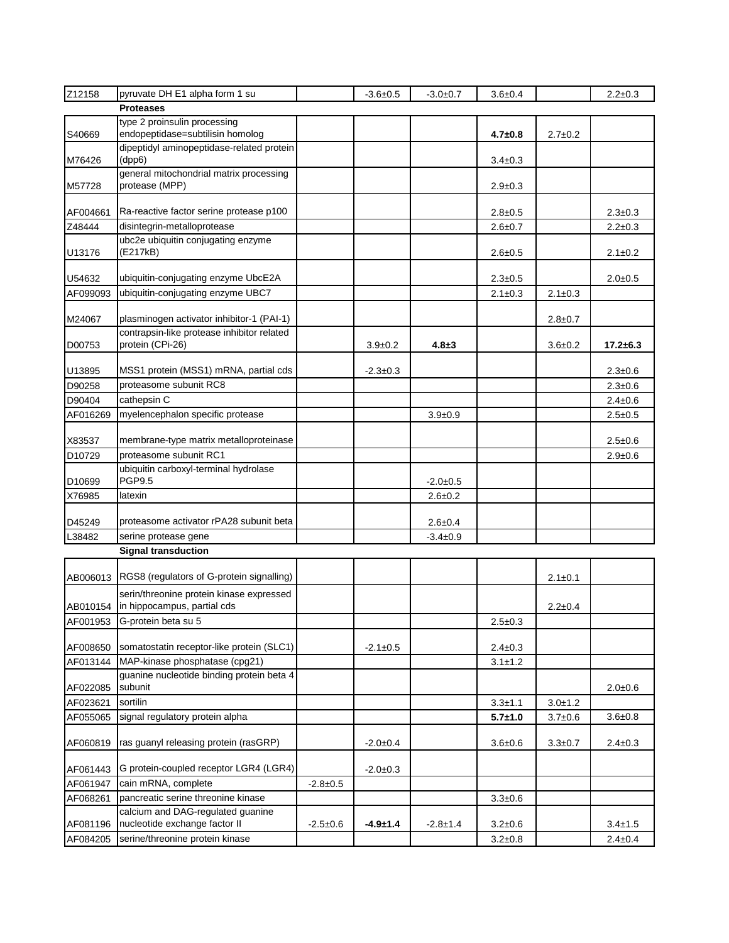| Z12158   | pyruvate DH E1 alpha form 1 su                                                        |            | $-3.6+0.5$     | $-3.0+0.7$     | $3.6 + 0.4$   |               | $2.2 \pm 0.3$  |
|----------|---------------------------------------------------------------------------------------|------------|----------------|----------------|---------------|---------------|----------------|
|          | <b>Proteases</b>                                                                      |            |                |                |               |               |                |
|          | type 2 proinsulin processing                                                          |            |                |                |               |               |                |
| S40669   | endopeptidase=subtilisin homolog                                                      |            |                |                | $4.7 \pm 0.8$ | $2.7 \pm 0.2$ |                |
| M76426   | dipeptidyl aminopeptidase-related protein<br>(dpp6)                                   |            |                |                | $3.4 \pm 0.3$ |               |                |
| M57728   | general mitochondrial matrix processing<br>protease (MPP)                             |            |                |                | $2.9 \pm 0.3$ |               |                |
| AF004661 | Ra-reactive factor serine protease p100                                               |            |                |                | $2.8 \pm 0.5$ |               | $2.3 \pm 0.3$  |
| Z48444   | disintegrin-metalloprotease                                                           |            |                |                | $2.6 + 0.7$   |               | $2.2 \pm 0.3$  |
| U13176   | ubc2e ubiquitin conjugating enzyme<br>(E217kB)                                        |            |                |                | $2.6 \pm 0.5$ |               | $2.1 \pm 0.2$  |
| U54632   | ubiquitin-conjugating enzyme UbcE2A                                                   |            |                |                | $2.3 \pm 0.5$ |               | $2.0 + 0.5$    |
| AF099093 | ubiquitin-conjugating enzyme UBC7                                                     |            |                |                | $2.1 \pm 0.3$ | $2.1 \pm 0.3$ |                |
| M24067   | plasminogen activator inhibitor-1 (PAI-1)                                             |            |                |                |               | $2.8 \pm 0.7$ |                |
|          | contrapsin-like protease inhibitor related                                            |            |                |                |               |               |                |
| D00753   | protein (CPi-26)                                                                      |            | $3.9 \pm 0.2$  | $4.8 + 3$      |               | $3.6 \pm 0.2$ | $17.2 \pm 6.3$ |
| U13895   | MSS1 protein (MSS1) mRNA, partial cds                                                 |            | $-2.3 \pm 0.3$ |                |               |               | $2.3 \pm 0.6$  |
| D90258   | proteasome subunit RC8                                                                |            |                |                |               |               | $2.3 \pm 0.6$  |
| D90404   | cathepsin C                                                                           |            |                |                |               |               | $2.4 \pm 0.6$  |
| AF016269 | myelencephalon specific protease                                                      |            |                | $3.9 + 0.9$    |               |               | $2.5 \pm 0.5$  |
| X83537   | membrane-type matrix metalloproteinase                                                |            |                |                |               |               | $2.5 \pm 0.6$  |
| D10729   | proteasome subunit RC1                                                                |            |                |                |               |               | $2.9 + 0.6$    |
| D10699   | ubiquitin carboxyl-terminal hydrolase<br><b>PGP9.5</b>                                |            |                | $-2.0+0.5$     |               |               |                |
| X76985   | latexin                                                                               |            |                | $2.6 + 0.2$    |               |               |                |
| D45249   | proteasome activator rPA28 subunit beta                                               |            |                | $2.6 + 0.4$    |               |               |                |
| L38482   | serine protease gene                                                                  |            |                | $-3.4 \pm 0.9$ |               |               |                |
|          | <b>Signal transduction</b>                                                            |            |                |                |               |               |                |
|          |                                                                                       |            |                |                |               |               |                |
| AB006013 | RGS8 (regulators of G-protein signalling)<br>serin/threonine protein kinase expressed |            |                |                |               | $2.1 \pm 0.1$ |                |
| AB010154 | in hippocampus, partial cds                                                           |            |                |                |               | $2.2 \pm 0.4$ |                |
| AF001953 | G-protein beta su 5                                                                   |            |                |                | $2.5 \pm 0.3$ |               |                |
| AF008650 | somatostatin receptor-like protein (SLC1)                                             |            | $-2.1 \pm 0.5$ |                | $2.4 \pm 0.3$ |               |                |
| AF013144 | MAP-kinase phosphatase (cpg21)                                                        |            |                |                | $3.1 \pm 1.2$ |               |                |
| AF022085 | guanine nucleotide binding protein beta 4<br>subunit                                  |            |                |                |               |               | $2.0 + 0.6$    |
| AF023621 | sortilin                                                                              |            |                |                | $3.3 + 1.1$   | $3.0 + 1.2$   |                |
| AF055065 | signal regulatory protein alpha                                                       |            |                |                | $5.7 + 1.0$   | $3.7 + 0.6$   | $3.6 + 0.8$    |
| AF060819 | ras guanyl releasing protein (rasGRP)                                                 |            | $-2.0+0.4$     |                | $3.6 + 0.6$   | $3.3 + 0.7$   | $2.4 \pm 0.3$  |
| AF061443 | G protein-coupled receptor LGR4 (LGR4)                                                |            | $-2.0+0.3$     |                |               |               |                |
| AF061947 | cain mRNA, complete                                                                   | $-2.8+0.5$ |                |                |               |               |                |
| AF068261 | pancreatic serine threonine kinase                                                    |            |                |                | $3.3 \pm 0.6$ |               |                |
|          | calcium and DAG-regulated guanine                                                     |            |                |                |               |               |                |
| AF081196 | nucleotide exchange factor II                                                         | $-2.5+0.6$ | $-4.9 + 1.4$   | $-2.8 \pm 1.4$ | $3.2 \pm 0.6$ |               | $3.4 \pm 1.5$  |
| AF084205 | serine/threonine protein kinase                                                       |            |                |                | $3.2 \pm 0.8$ |               | $2.4 \pm 0.4$  |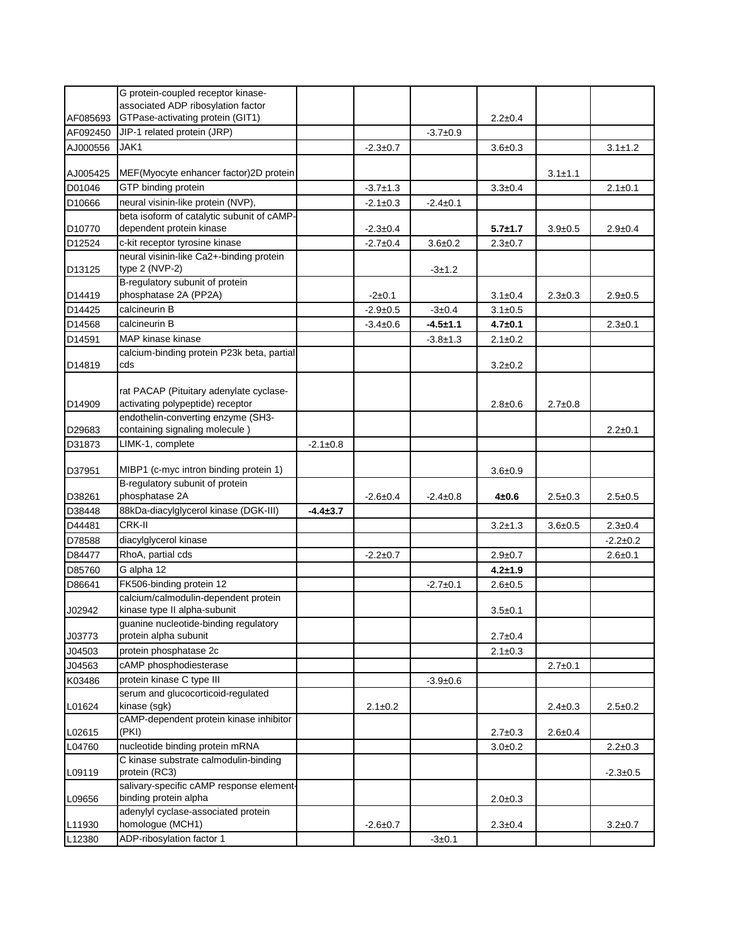|          | G protein-coupled receptor kinase-<br>associated ADP ribosylation factor    |                |                        |                |                                |               |                |
|----------|-----------------------------------------------------------------------------|----------------|------------------------|----------------|--------------------------------|---------------|----------------|
| AF085693 | GTPase-activating protein (GIT1)                                            |                |                        |                | $2.2 \pm 0.4$                  |               |                |
| AF092450 | JIP-1 related protein (JRP)                                                 |                |                        | $-3.7+0.9$     |                                |               |                |
| AJ000556 | JAK1                                                                        |                | $-2.3+0.7$             |                | $3.6 + 0.3$                    |               | $3.1 \pm 1.2$  |
|          |                                                                             |                |                        |                |                                |               |                |
| AJ005425 | MEF(Myocyte enhancer factor)2D protein                                      |                |                        |                |                                | $3.1 + 1.1$   |                |
| D01046   | GTP binding protein                                                         |                | $-3.7+1.3$             |                | $3.3 + 0.4$                    |               | $2.1 \pm 0.1$  |
| D10666   | neural visinin-like protein (NVP),                                          |                | $-2.1 \pm 0.3$         | $-2.4 \pm 0.1$ |                                |               |                |
|          | beta isoform of catalytic subunit of cAMP-                                  |                |                        |                |                                |               |                |
| D10770   | dependent protein kinase                                                    |                | $-2.3 \pm 0.4$         |                | $5.7 \pm 1.7$                  | $3.9 \pm 0.5$ | $2.9 \pm 0.4$  |
| D12524   | c-kit receptor tyrosine kinase<br>neural visinin-like Ca2+-binding protein  |                | $-2.7+0.4$             | $3.6 + 0.2$    | $2.3 \pm 0.7$                  |               |                |
| D13125   | type $2$ (NVP-2)                                                            |                |                        | $-3±1.2$       |                                |               |                |
| D14419   | B-regulatory subunit of protein<br>phosphatase 2A (PP2A)                    |                |                        |                |                                | $2.3 \pm 0.3$ |                |
| D14425   | calcineurin B                                                               |                | $-2+0.1$<br>$-2.9+0.5$ | $-3+0.4$       | $3.1 \pm 0.4$<br>$3.1 \pm 0.5$ |               | $2.9 \pm 0.5$  |
| D14568   | calcineurin B                                                               |                | $-3.4 \pm 0.6$         | $-4.5 + 1.1$   | $4.7 + 0.1$                    |               | $2.3 \pm 0.1$  |
| D14591   | MAP kinase kinase                                                           |                |                        | $-3.8 \pm 1.3$ | $2.1 \pm 0.2$                  |               |                |
|          | calcium-binding protein P23k beta, partial                                  |                |                        |                |                                |               |                |
| D14819   | cds                                                                         |                |                        |                | $3.2 \pm 0.2$                  |               |                |
| D14909   | rat PACAP (Pituitary adenylate cyclase-<br>activating polypeptide) receptor |                |                        |                | $2.8 \pm 0.6$                  | $2.7 \pm 0.8$ |                |
|          | endothelin-converting enzyme (SH3-                                          |                |                        |                |                                |               |                |
| D29683   | containing signaling molecule)                                              |                |                        |                |                                |               | $2.2 \pm 0.1$  |
| D31873   | LIMK-1, complete                                                            | $-2.1 \pm 0.8$ |                        |                |                                |               |                |
|          |                                                                             |                |                        |                |                                |               |                |
| D37951   | MIBP1 (c-myc intron binding protein 1)                                      |                |                        |                | $3.6 + 0.9$                    |               |                |
| D38261   | B-regulatory subunit of protein<br>phosphatase 2A                           |                | $-2.6+0.4$             | $-2.4 \pm 0.8$ | $4 + 0.6$                      | $2.5 \pm 0.3$ | $2.5 \pm 0.5$  |
| D38448   | 88kDa-diacylglycerol kinase (DGK-III)                                       | $-4.4 \pm 3.7$ |                        |                |                                |               |                |
| D44481   | CRK-II                                                                      |                |                        |                | $3.2 + 1.3$                    | $3.6 + 0.5$   | $2.3 \pm 0.4$  |
| D78588   | diacylglycerol kinase                                                       |                |                        |                |                                |               | $-2.2 \pm 0.2$ |
| D84477   | RhoA, partial cds                                                           |                | $-2.2 \pm 0.7$         |                | $2.9 \pm 0.7$                  |               | $2.6 + 0.1$    |
| D85760   | G alpha 12                                                                  |                |                        |                | $4.2 + 1.9$                    |               |                |
| D86641   | FK506-binding protein 12                                                    |                |                        | $-2.7+0.1$     | $2.6 + 0.5$                    |               |                |
| J02942   | calcium/calmodulin-dependent protein<br>kinase type II alpha-subunit        |                |                        |                | $3.5 + 0.1$                    |               |                |
|          | guanine nucleotide-binding regulatory                                       |                |                        |                |                                |               |                |
| J03773   | protein alpha subunit                                                       |                |                        |                | $2.7 \pm 0.4$                  |               |                |
| J04503   | protein phosphatase 2c                                                      |                |                        |                | $2.1 \pm 0.3$                  |               |                |
| J04563   | cAMP phosphodiesterase                                                      |                |                        |                |                                | $2.7 \pm 0.1$ |                |
| K03486   | protein kinase C type III                                                   |                |                        | $-3.9+0.6$     |                                |               |                |
| L01624   | serum and glucocorticoid-regulated<br>kinase (sgk)                          |                | $2.1 \pm 0.2$          |                |                                | $2.4 \pm 0.3$ | $2.5 \pm 0.2$  |
|          | cAMP-dependent protein kinase inhibitor                                     |                |                        |                |                                |               |                |
| L02615   | (PKI)                                                                       |                |                        |                | $2.7 \pm 0.3$                  | $2.6 + 0.4$   |                |
| L04760   | nucleotide binding protein mRNA                                             |                |                        |                | $3.0 + 0.2$                    |               | $2.2 \pm 0.3$  |
| L09119   | C kinase substrate calmodulin-binding<br>protein (RC3)                      |                |                        |                |                                |               | $-2.3 \pm 0.5$ |
|          | salivary-specific cAMP response element-                                    |                |                        |                |                                |               |                |
| L09656   | binding protein alpha<br>adenylyl cyclase-associated protein                |                |                        |                | $2.0 \pm 0.3$                  |               |                |
| L11930   | homologue (MCH1)                                                            |                | $-2.6 \pm 0.7$         |                | $2.3 \pm 0.4$                  |               | $3.2 \pm 0.7$  |
| L12380   | ADP-ribosylation factor 1                                                   |                |                        | $-3 \pm 0.1$   |                                |               |                |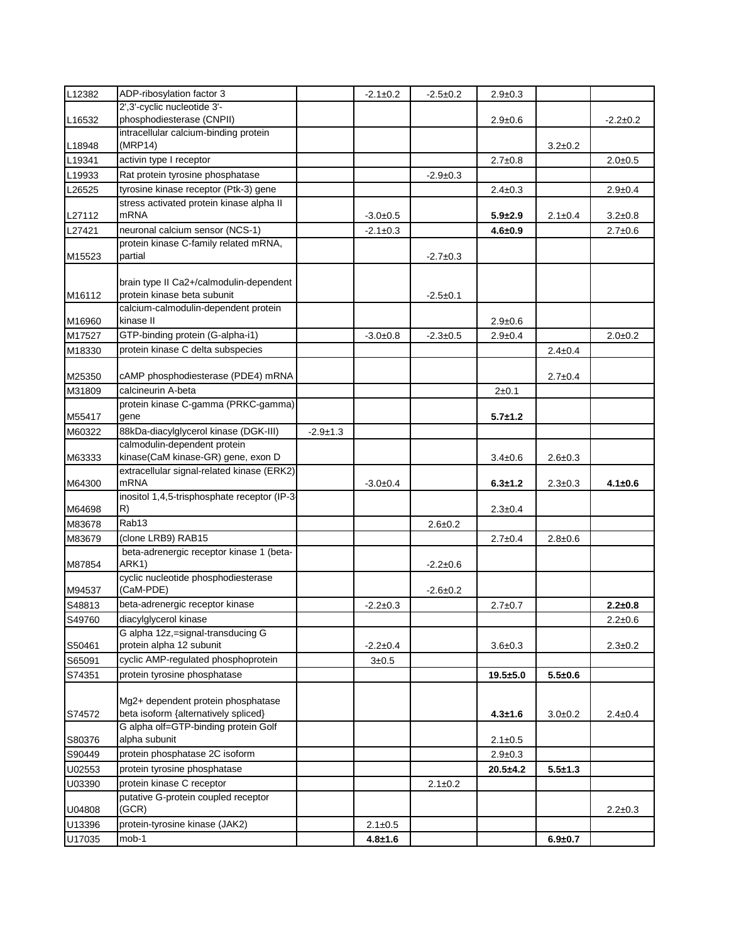| L12382 | ADP-ribosylation factor 3                                                  |                | $-2.1 \pm 0.2$ | $-2.5 \pm 0.2$ | $2.9 \pm 0.3$ |               |               |
|--------|----------------------------------------------------------------------------|----------------|----------------|----------------|---------------|---------------|---------------|
|        | 2',3'-cyclic nucleotide 3'-                                                |                |                |                |               |               |               |
| L16532 | phosphodiesterase (CNPII)                                                  |                |                |                | $2.9 \pm 0.6$ |               | $-2.2+0.2$    |
| L18948 | intracellular calcium-binding protein<br>(MRP14)                           |                |                |                |               | $3.2 \pm 0.2$ |               |
| L19341 | activin type I receptor                                                    |                |                |                | $2.7 \pm 0.8$ |               | $2.0 + 0.5$   |
| L19933 | Rat protein tyrosine phosphatase                                           |                |                | $-2.9 \pm 0.3$ |               |               |               |
| L26525 | tyrosine kinase receptor (Ptk-3) gene                                      |                |                |                | $2.4 \pm 0.3$ |               | $2.9 + 0.4$   |
|        | stress activated protein kinase alpha II                                   |                |                |                |               |               |               |
| L27112 | <b>mRNA</b><br>neuronal calcium sensor (NCS-1)                             |                | $-3.0+0.5$     |                | $5.9 + 2.9$   | $2.1 \pm 0.4$ | $3.2 \pm 0.8$ |
| L27421 | protein kinase C-family related mRNA,                                      |                | $-2.1 \pm 0.3$ |                | $4.6 + 0.9$   |               | $2.7 \pm 0.6$ |
| M15523 | partial                                                                    |                |                | $-2.7+0.3$     |               |               |               |
| M16112 | brain type II Ca2+/calmodulin-dependent<br>protein kinase beta subunit     |                |                | $-2.5 \pm 0.1$ |               |               |               |
| M16960 | calcium-calmodulin-dependent protein<br>kinase II                          |                |                |                | $2.9 \pm 0.6$ |               |               |
| M17527 | GTP-binding protein (G-alpha-i1)                                           |                | $-3.0+0.8$     | $-2.3 \pm 0.5$ | $2.9 \pm 0.4$ |               | $2.0 + 0.2$   |
| M18330 | protein kinase C delta subspecies                                          |                |                |                |               | $2.4 \pm 0.4$ |               |
| M25350 | cAMP phosphodiesterase (PDE4) mRNA                                         |                |                |                |               | $2.7 \pm 0.4$ |               |
| M31809 | calcineurin A-beta                                                         |                |                |                | $2 + 0.1$     |               |               |
| M55417 | protein kinase C-gamma (PRKC-gamma)<br>gene                                |                |                |                | $5.7 + 1.2$   |               |               |
| M60322 | 88kDa-diacylglycerol kinase (DGK-III)                                      | $-2.9 \pm 1.3$ |                |                |               |               |               |
|        | calmodulin-dependent protein                                               |                |                |                |               |               |               |
| M63333 | kinase(CaM kinase-GR) gene, exon D                                         |                |                |                | $3.4 \pm 0.6$ | $2.6 \pm 0.3$ |               |
| M64300 | extracellular signal-related kinase (ERK2)<br><b>mRNA</b>                  |                | $-3.0+0.4$     |                | $6.3 + 1.2$   | $2.3 \pm 0.3$ | $4.1 \pm 0.6$ |
| M64698 | inositol 1,4,5-trisphosphate receptor (IP-3-<br>R)                         |                |                |                | $2.3 \pm 0.4$ |               |               |
| M83678 | Rab13                                                                      |                |                | $2.6 + 0.2$    |               |               |               |
| M83679 | (clone LRB9) RAB15                                                         |                |                |                | $2.7 \pm 0.4$ | $2.8 + 0.6$   |               |
| M87854 | beta-adrenergic receptor kinase 1 (beta-<br>ARK1)                          |                |                | $-2.2 \pm 0.6$ |               |               |               |
| M94537 | cyclic nucleotide phosphodiesterase<br>(CaM-PDE)                           |                |                | $-2.6+0.2$     |               |               |               |
| S48813 | beta-adrenergic receptor kinase                                            |                | $-2.2 \pm 0.3$ |                | $2.7 \pm 0.7$ |               | $2.2 + 0.8$   |
| S49760 | diacylglycerol kinase                                                      |                |                |                |               |               | $2.2 \pm 0.6$ |
|        | G alpha 12z,=signal-transducing G                                          |                |                |                |               |               |               |
| S50461 | protein alpha 12 subunit                                                   |                | $-2.2 \pm 0.4$ |                | $3.6 + 0.3$   |               | $2.3 \pm 0.2$ |
| S65091 | cyclic AMP-regulated phosphoprotein                                        |                | 3 ± 0.5        |                |               |               |               |
| S74351 | protein tyrosine phosphatase                                               |                |                |                | $19.5 + 5.0$  | $5.5 + 0.6$   |               |
| S74572 | Mg2+ dependent protein phosphatase<br>beta isoform {alternatively spliced} |                |                |                | $4.3 + 1.6$   | $3.0 + 0.2$   | $2.4 \pm 0.4$ |
| S80376 | G alpha olf=GTP-binding protein Golf<br>alpha subunit                      |                |                |                | $2.1 \pm 0.5$ |               |               |
| S90449 | protein phosphatase 2C isoform                                             |                |                |                | $2.9 \pm 0.3$ |               |               |
| U02553 | protein tyrosine phosphatase                                               |                |                |                | $20.5 + 4.2$  | $5.5 + 1.3$   |               |
| U03390 | protein kinase C receptor                                                  |                |                | $2.1 \pm 0.2$  |               |               |               |
| U04808 | putative G-protein coupled receptor<br>(GCR)                               |                |                |                |               |               | $2.2 \pm 0.3$ |
| U13396 | protein-tyrosine kinase (JAK2)                                             |                | $2.1 \pm 0.5$  |                |               |               |               |
| U17035 | mob-1                                                                      |                | $4.8 + 1.6$    |                |               | $6.9 + 0.7$   |               |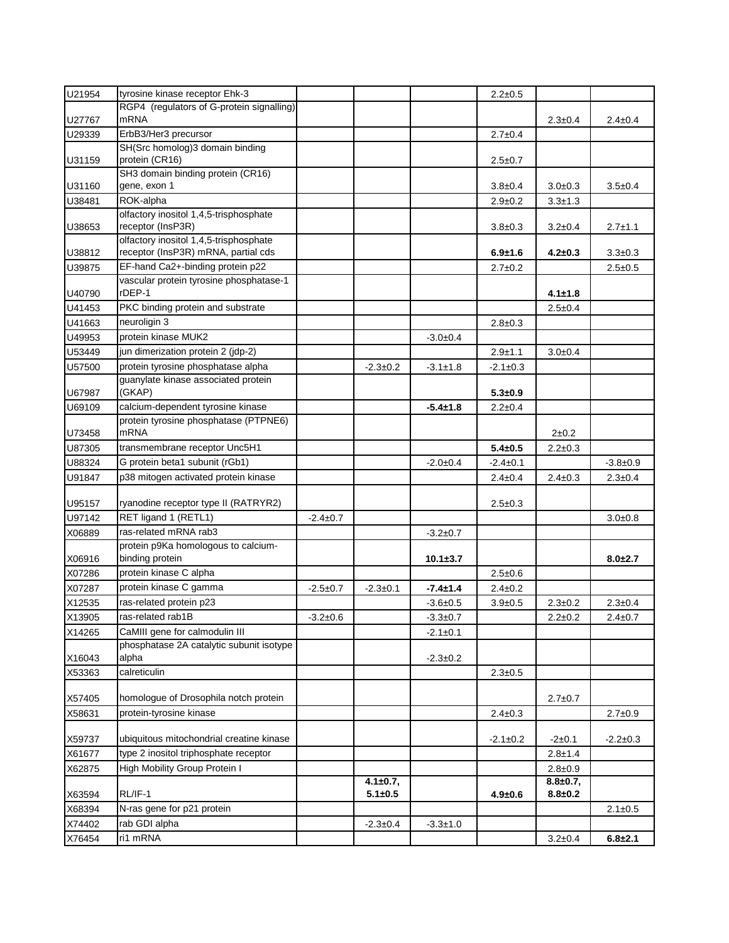| U21954           | tyrosine kinase receptor Ehk-3                                                |                |                |                | $2.2 \pm 0.5$  |                 |                |
|------------------|-------------------------------------------------------------------------------|----------------|----------------|----------------|----------------|-----------------|----------------|
|                  | RGP4 (regulators of G-protein signalling)                                     |                |                |                |                |                 |                |
| U27767           | mRNA                                                                          |                |                |                |                | $2.3 \pm 0.4$   | $2.4 \pm 0.4$  |
| U29339           | ErbB3/Her3 precursor                                                          |                |                |                | $2.7 \pm 0.4$  |                 |                |
|                  | SH(Src homolog)3 domain binding                                               |                |                |                |                |                 |                |
| U31159           | protein (CR16)<br>SH3 domain binding protein (CR16)                           |                |                |                | $2.5 \pm 0.7$  |                 |                |
| U31160           | gene, exon 1                                                                  |                |                |                | $3.8 \pm 0.4$  | $3.0+0.3$       | $3.5 \pm 0.4$  |
| U38481           | ROK-alpha                                                                     |                |                |                | $2.9 \pm 0.2$  | $3.3 \pm 1.3$   |                |
|                  | olfactory inositol 1,4,5-trisphosphate                                        |                |                |                |                |                 |                |
| U38653           | receptor (InsP3R)                                                             |                |                |                | $3.8 \pm 0.3$  | $3.2 \pm 0.4$   | $2.7 + 1.1$    |
|                  | olfactory inositol 1,4,5-trisphosphate<br>receptor (InsP3R) mRNA, partial cds |                |                |                |                |                 | $3.3 \pm 0.3$  |
| U38812<br>U39875 | EF-hand Ca2+-binding protein p22                                              |                |                |                | $6.9 + 1.6$    | $4.2 \pm 0.3$   | $2.5 + 0.5$    |
|                  | vascular protein tyrosine phosphatase-1                                       |                |                |                | $2.7 \pm 0.2$  |                 |                |
| U40790           | rDEP-1                                                                        |                |                |                |                | $4.1 \pm 1.8$   |                |
| U41453           | PKC binding protein and substrate                                             |                |                |                |                | $2.5 \pm 0.4$   |                |
| U41663           | neuroligin 3                                                                  |                |                |                | $2.8 \pm 0.3$  |                 |                |
| U49953           | protein kinase MUK2                                                           |                |                | $-3.0+0.4$     |                |                 |                |
| U53449           | jun dimerization protein 2 (jdp-2)                                            |                |                |                | $2.9 + 1.1$    | $3.0 + 0.4$     |                |
| U57500           | protein tyrosine phosphatase alpha                                            |                | $-2.3 \pm 0.2$ | $-3.1 \pm 1.8$ | $-2.1 \pm 0.3$ |                 |                |
|                  | guanylate kinase associated protein                                           |                |                |                |                |                 |                |
| U67987           | (GKAP)                                                                        |                |                |                | $5.3 + 0.9$    |                 |                |
| U69109           | calcium-dependent tyrosine kinase                                             |                |                | $-5.4 \pm 1.8$ | $2.2 \pm 0.4$  |                 |                |
|                  | protein tyrosine phosphatase (PTPNE6)                                         |                |                |                |                |                 |                |
| U73458           | <b>mRNA</b>                                                                   |                |                |                |                | $2+0.2$         |                |
| U87305           | transmembrane receptor Unc5H1                                                 |                |                |                | $5.4 \pm 0.5$  | $2.2 \pm 0.3$   |                |
| U88324           | G protein beta1 subunit (rGb1)                                                |                |                | $-2.0+0.4$     | $-2.4 \pm 0.1$ |                 | $-3.8 + 0.9$   |
| U91847           | p38 mitogen activated protein kinase                                          |                |                |                | $2.4 \pm 0.4$  | $2.4 \pm 0.3$   | $2.3 \pm 0.4$  |
|                  |                                                                               |                |                |                |                |                 |                |
| U95157           | ryanodine receptor type II (RATRYR2)                                          |                |                |                | $2.5 \pm 0.3$  |                 |                |
| U97142           | RET ligand 1 (RETL1)                                                          | $-2.4 \pm 0.7$ |                |                |                |                 | $3.0 + 0.8$    |
| X06889           | ras-related mRNA rab3                                                         |                |                | $-3.2 \pm 0.7$ |                |                 |                |
| X06916           | protein p9Ka homologous to calcium-<br>binding protein                        |                |                | $10.1 \pm 3.7$ |                |                 | $8.0 + 2.7$    |
| X07286           | protein kinase C alpha                                                        |                |                |                | $2.5 \pm 0.6$  |                 |                |
| X07287           | protein kinase C gamma                                                        | $-2.5+0.7$     | $-2.3 \pm 0.1$ | $-7.4 \pm 1.4$ | $2.4 \pm 0.2$  |                 |                |
| X12535           | ras-related protein p23                                                       |                |                | $-3.6+0.5$     | $3.9 + 0.5$    | $2.3 + 0.2$     | $2.3 \pm 0.4$  |
| X13905           | ras-related rab1B                                                             | $-3.2 \pm 0.6$ |                | $-3.3 \pm 0.7$ |                | $2.2+0.2$       | $2.4 + 0.7$    |
| X14265           | CaMIII gene for calmodulin III                                                |                |                | $-2.1 \pm 0.1$ |                |                 |                |
| X16043           | phosphatase 2A catalytic subunit isotype<br>alpha                             |                |                | $-2.3 \pm 0.2$ |                |                 |                |
| X53363           | calreticulin                                                                  |                |                |                | $2.3 \pm 0.5$  |                 |                |
|                  |                                                                               |                |                |                |                |                 |                |
| X57405           | homologue of Drosophila notch protein                                         |                |                |                |                | $2.7 \pm 0.7$   |                |
| X58631           | protein-tyrosine kinase                                                       |                |                |                | $2.4 \pm 0.3$  |                 | $2.7 \pm 0.9$  |
| X59737           | ubiquitous mitochondrial creatine kinase                                      |                |                |                | $-2.1 \pm 0.2$ | $-2+0.1$        | $-2.2 \pm 0.3$ |
| X61677           | type 2 inositol triphosphate receptor                                         |                |                |                |                | $2.8 + 1.4$     |                |
| X62875           | High Mobility Group Protein I                                                 |                |                |                |                | $2.8 + 0.9$     |                |
|                  |                                                                               |                | 4.1±0.7,       |                |                | $8.8 \pm 0.7$ , |                |
| X63594           | RL/IF-1                                                                       |                | $5.1 + 0.5$    |                | $4.9 \pm 0.6$  | $8.8 + 0.2$     |                |
| X68394           | N-ras gene for p21 protein                                                    |                |                |                |                |                 | $2.1 \pm 0.5$  |
| X74402           | rab GDI alpha                                                                 |                | $-2.3 \pm 0.4$ | $-3.3 \pm 1.0$ |                |                 |                |
| X76454           | ri1 mRNA                                                                      |                |                |                |                | $3.2 \pm 0.4$   | $6.8 + 2.1$    |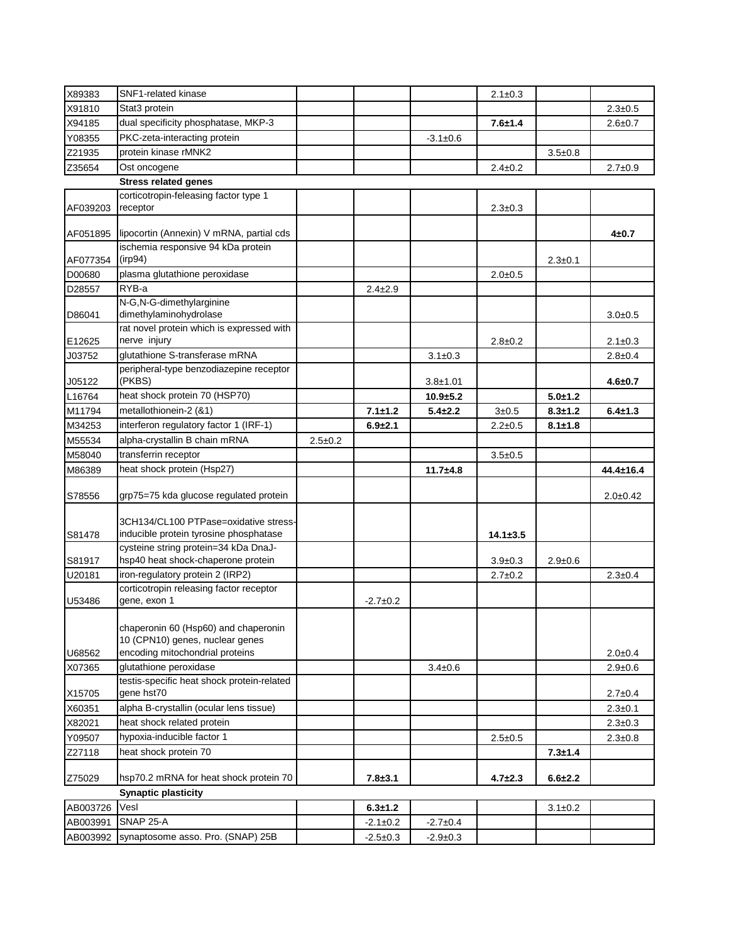| X89383               | SNF1-related kinase                                       |               |                                  |                                  | $2.1 \pm 0.3$  |               |                 |
|----------------------|-----------------------------------------------------------|---------------|----------------------------------|----------------------------------|----------------|---------------|-----------------|
| X91810               | Stat3 protein                                             |               |                                  |                                  |                |               | $2.3 \pm 0.5$   |
| X94185               | dual specificity phosphatase, MKP-3                       |               |                                  |                                  | $7.6 + 1.4$    |               | $2.6 + 0.7$     |
| Y08355               | PKC-zeta-interacting protein                              |               |                                  | $-3.1 \pm 0.6$                   |                |               |                 |
| Z21935               | protein kinase rMNK2                                      |               |                                  |                                  |                | $3.5 + 0.8$   |                 |
| Z35654               | Ost oncogene                                              |               |                                  |                                  | $2.4 \pm 0.2$  |               | $2.7 \pm 0.9$   |
|                      | <b>Stress related genes</b>                               |               |                                  |                                  |                |               |                 |
|                      | corticotropin-feleasing factor type 1                     |               |                                  |                                  |                |               |                 |
| AF039203             | receptor                                                  |               |                                  |                                  | $2.3 \pm 0.3$  |               |                 |
| AF051895             | lipocortin (Annexin) V mRNA, partial cds                  |               |                                  |                                  |                |               | $4 + 0.7$       |
| AF077354             | ischemia responsive 94 kDa protein<br>(irp94)             |               |                                  |                                  |                | $2.3 + 0.1$   |                 |
| D00680               | plasma glutathione peroxidase                             |               |                                  |                                  | $2.0 + 0.5$    |               |                 |
| D28557               | RYB-a                                                     |               | $2.4 \pm 2.9$                    |                                  |                |               |                 |
|                      | N-G,N-G-dimethylarginine                                  |               |                                  |                                  |                |               |                 |
| D86041               | dimethylaminohydrolase                                    |               |                                  |                                  |                |               | $3.0 + 0.5$     |
| E12625               | rat novel protein which is expressed with<br>nerve injury |               |                                  |                                  | $2.8 \pm 0.2$  |               | $2.1 \pm 0.3$   |
| J03752               | glutathione S-transferase mRNA                            |               |                                  | $3.1 \pm 0.3$                    |                |               | $2.8 \pm 0.4$   |
| J05122               | peripheral-type benzodiazepine receptor<br>(PKBS)         |               |                                  | $3.8 + 1.01$                     |                |               | $4.6 + 0.7$     |
| L16764               | heat shock protein 70 (HSP70)                             |               |                                  | $10.9 + 5.2$                     |                | $5.0 + 1.2$   |                 |
| M11794               | metallothionein-2 (&1)                                    |               | $7.1 + 1.2$                      | $5.4 \pm 2.2$                    | $3 + 0.5$      | $8.3 + 1.2$   | $6.4 \pm 1.3$   |
| M34253               | interferon regulatory factor 1 (IRF-1)                    |               | $6.9 + 2.1$                      |                                  | $2.2 \pm 0.5$  | $8.1 \pm 1.8$ |                 |
| M55534               | alpha-crystallin B chain mRNA                             | $2.5 \pm 0.2$ |                                  |                                  |                |               |                 |
| M58040               | transferrin receptor                                      |               |                                  |                                  | $3.5 + 0.5$    |               |                 |
|                      |                                                           |               |                                  |                                  |                |               |                 |
|                      |                                                           |               |                                  |                                  |                |               |                 |
| M86389               | heat shock protein (Hsp27)                                |               |                                  | $11.7 + 4.8$                     |                |               | $44.4 \pm 16.4$ |
| S78556               | grp75=75 kda glucose regulated protein                    |               |                                  |                                  |                |               | $2.0 + 0.42$    |
|                      |                                                           |               |                                  |                                  |                |               |                 |
|                      | 3CH134/CL100 PTPase=oxidative stress-                     |               |                                  |                                  |                |               |                 |
| S81478               | inducible protein tyrosine phosphatase                    |               |                                  |                                  | $14.1 \pm 3.5$ |               |                 |
|                      | cysteine string protein=34 kDa DnaJ-                      |               |                                  |                                  |                |               |                 |
| S81917               | hsp40 heat shock-chaperone protein                        |               |                                  |                                  | $3.9 \pm 0.3$  | $2.9 \pm 0.6$ |                 |
| U20181               | iron-regulatory protein 2 (IRP2)                          |               |                                  |                                  | $2.7 \pm 0.2$  |               | $2.3 \pm 0.4$   |
| U53486               | corticotropin releasing factor receptor<br>gene, exon 1   |               | $-2.7+0.2$                       |                                  |                |               |                 |
|                      |                                                           |               |                                  |                                  |                |               |                 |
|                      | chaperonin 60 (Hsp60) and chaperonin                      |               |                                  |                                  |                |               |                 |
|                      | 10 (CPN10) genes, nuclear genes                           |               |                                  |                                  |                |               |                 |
| U68562               | encoding mitochondrial proteins                           |               |                                  |                                  |                |               | $2.0 + 0.4$     |
| X07365               | glutathione peroxidase                                    |               |                                  | $3.4 \pm 0.6$                    |                |               | $2.9 \pm 0.6$   |
|                      | testis-specific heat shock protein-related                |               |                                  |                                  |                |               |                 |
| X15705               | gene hst70                                                |               |                                  |                                  |                |               | $2.7 \pm 0.4$   |
| X60351               | alpha B-crystallin (ocular lens tissue)                   |               |                                  |                                  |                |               | $2.3 \pm 0.1$   |
| X82021               | heat shock related protein                                |               |                                  |                                  |                |               | $2.3 \pm 0.3$   |
| Y09507               | hypoxia-inducible factor 1                                |               |                                  |                                  | $2.5 \pm 0.5$  |               | $2.3 \pm 0.8$   |
| Z27118               | heat shock protein 70                                     |               |                                  |                                  |                | $7.3 + 1.4$   |                 |
| Z75029               | hsp70.2 mRNA for heat shock protein 70                    |               | $7.8 + 3.1$                      |                                  | $4.7 \pm 2.3$  | $6.6 \pm 2.2$ |                 |
|                      | <b>Synaptic plasticity</b>                                |               |                                  |                                  |                |               |                 |
| AB003726             | Vesl                                                      |               | $6.3 + 1.2$                      |                                  |                | $3.1 \pm 0.2$ |                 |
| AB003991<br>AB003992 | <b>SNAP 25-A</b><br>synaptosome asso. Pro. (SNAP) 25B     |               | $-2.1 \pm 0.2$<br>$-2.5 \pm 0.3$ | $-2.7 \pm 0.4$<br>$-2.9 \pm 0.3$ |                |               |                 |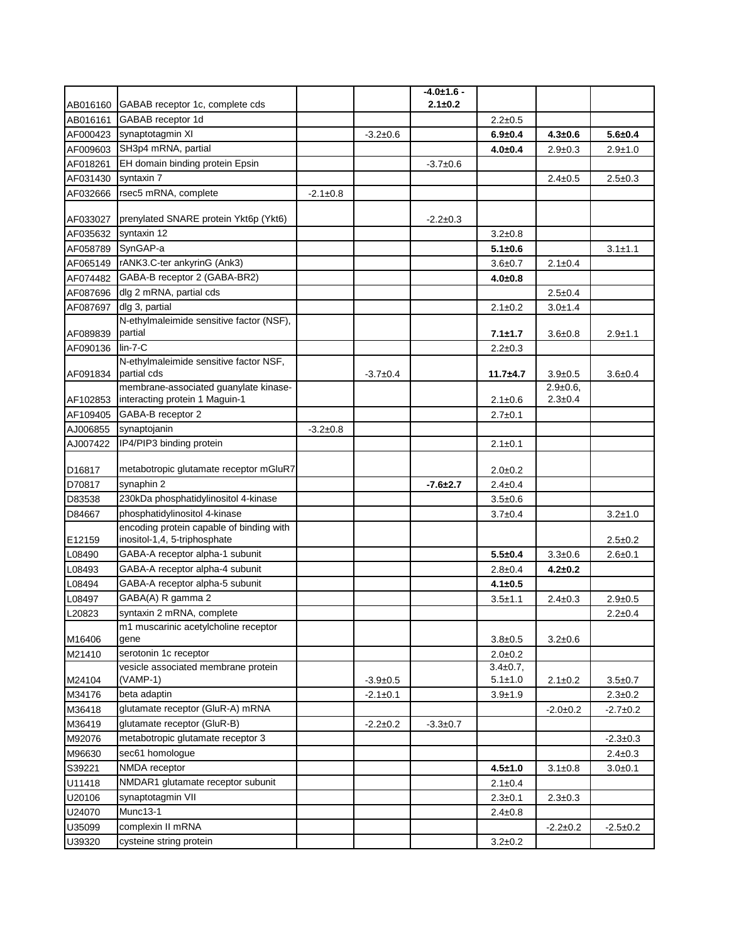|          |                                                       |                |                | $-4.0 \pm 1.6$ - |                 |                 |                |
|----------|-------------------------------------------------------|----------------|----------------|------------------|-----------------|-----------------|----------------|
| AB016160 | GABAB receptor 1c, complete cds                       |                |                | $2.1 \pm 0.2$    |                 |                 |                |
| AB016161 | GABAB receptor 1d                                     |                |                |                  | $2.2 \pm 0.5$   |                 |                |
| AF000423 | synaptotagmin XI                                      |                | $-3.2+0.6$     |                  | $6.9 + 0.4$     | $4.3 + 0.6$     | $5.6 + 0.4$    |
| AF009603 | SH3p4 mRNA, partial                                   |                |                |                  | $4.0 + 0.4$     | $2.9 \pm 0.3$   | $2.9 + 1.0$    |
| AF018261 | EH domain binding protein Epsin                       |                |                | $-3.7+0.6$       |                 |                 |                |
| AF031430 | syntaxin 7                                            |                |                |                  |                 | $2.4 \pm 0.5$   | $2.5 \pm 0.3$  |
| AF032666 | rsec5 mRNA, complete                                  | $-2.1 \pm 0.8$ |                |                  |                 |                 |                |
|          |                                                       |                |                |                  |                 |                 |                |
| AF033027 | prenylated SNARE protein Ykt6p (Ykt6)                 |                |                | $-2.2 \pm 0.3$   |                 |                 |                |
| AF035632 | syntaxin 12                                           |                |                |                  | $3.2 \pm 0.8$   |                 |                |
| AF058789 | SynGAP-a                                              |                |                |                  | $5.1 \pm 0.6$   |                 | $3.1 \pm 1.1$  |
| AF065149 | rANK3.C-ter ankyrinG (Ank3)                           |                |                |                  | $3.6 + 0.7$     | $2.1 \pm 0.4$   |                |
| AF074482 | GABA-B receptor 2 (GABA-BR2)                          |                |                |                  | $4.0 + 0.8$     |                 |                |
| AF087696 | dlg 2 mRNA, partial cds                               |                |                |                  |                 | $2.5 \pm 0.4$   |                |
| AF087697 | dlg 3, partial                                        |                |                |                  | $2.1 \pm 0.2$   | $3.0 + 1.4$     |                |
|          | N-ethylmaleimide sensitive factor (NSF),              |                |                |                  |                 |                 |                |
| AF089839 | partial                                               |                |                |                  | $7.1 \pm 1.7$   | $3.6 + 0.8$     | $2.9 + 1.1$    |
| AF090136 | $lin-7-C$                                             |                |                |                  | $2.2 \pm 0.3$   |                 |                |
| AF091834 | N-ethylmaleimide sensitive factor NSF,<br>partial cds |                | $-3.7+0.4$     |                  | $11.7 + 4.7$    | $3.9 + 0.5$     | $3.6 \pm 0.4$  |
|          | membrane-associated guanylate kinase-                 |                |                |                  |                 | $2.9 \pm 0.6$ , |                |
| AF102853 | interacting protein 1 Maguin-1                        |                |                |                  | $2.1 \pm 0.6$   | $2.3 \pm 0.4$   |                |
| AF109405 | GABA-B receptor 2                                     |                |                |                  | $2.7 \pm 0.1$   |                 |                |
| AJ006855 | synaptojanin                                          | $-3.2+0.8$     |                |                  |                 |                 |                |
| AJ007422 | IP4/PIP3 binding protein                              |                |                |                  | $2.1 \pm 0.1$   |                 |                |
| D16817   | metabotropic glutamate receptor mGluR7                |                |                |                  | $2.0 + 0.2$     |                 |                |
| D70817   | synaphin 2                                            |                |                | $-7.6 + 2.7$     | $2.4 \pm 0.4$   |                 |                |
| D83538   | 230kDa phosphatidylinositol 4-kinase                  |                |                |                  | $3.5 \pm 0.6$   |                 |                |
| D84667   | phosphatidylinositol 4-kinase                         |                |                |                  | $3.7 + 0.4$     |                 | $3.2 + 1.0$    |
|          | encoding protein capable of binding with              |                |                |                  |                 |                 |                |
| E12159   | inositol-1,4, 5-triphosphate                          |                |                |                  |                 |                 | $2.5 \pm 0.2$  |
| L08490   | GABA-A receptor alpha-1 subunit                       |                |                |                  | $5.5 + 0.4$     | $3.3 \pm 0.6$   | $2.6 + 0.1$    |
| L08493   | GABA-A receptor alpha-4 subunit                       |                |                |                  | $2.8 \pm 0.4$   | $4.2 \pm 0.2$   |                |
| L08494   | GABA-A receptor alpha-5 subunit                       |                |                |                  | $4.1 \pm 0.5$   |                 |                |
| L08497   | GABA(A) R gamma 2                                     |                |                |                  | $3.5 + 1.1$     | $2.4 \pm 0.3$   | $2.9 + 0.5$    |
| L20823   | syntaxin 2 mRNA, complete                             |                |                |                  |                 |                 | $2.2 \pm 0.4$  |
| M16406   | m1 muscarinic acetylcholine receptor<br>gene          |                |                |                  | $3.8 + 0.5$     | $3.2 \pm 0.6$   |                |
| M21410   | serotonin 1c receptor                                 |                |                |                  | $2.0 + 0.2$     |                 |                |
|          | vesicle associated membrane protein                   |                |                |                  | $3.4 \pm 0.7$ , |                 |                |
| M24104   | (VAMP-1)                                              |                | $-3.9+0.5$     |                  | $5.1 \pm 1.0$   | $2.1 \pm 0.2$   | $3.5 + 0.7$    |
| M34176   | beta adaptin                                          |                | $-2.1 \pm 0.1$ |                  | $3.9 + 1.9$     |                 | $2.3 \pm 0.2$  |
| M36418   | glutamate receptor (GluR-A) mRNA                      |                |                |                  |                 | $-2.0+0.2$      | $-2.7+0.2$     |
| M36419   | glutamate receptor (GluR-B)                           |                | $-2.2 \pm 0.2$ | $-3.3 \pm 0.7$   |                 |                 |                |
| M92076   | metabotropic glutamate receptor 3                     |                |                |                  |                 |                 | $-2.3 \pm 0.3$ |
| M96630   | sec61 homoloque                                       |                |                |                  |                 |                 | $2.4 \pm 0.3$  |
| S39221   | NMDA receptor                                         |                |                |                  | $4.5 + 1.0$     | $3.1 \pm 0.8$   | $3.0 + 0.1$    |
| U11418   | NMDAR1 glutamate receptor subunit                     |                |                |                  | $2.1 \pm 0.4$   |                 |                |
| U20106   | synaptotagmin VII                                     |                |                |                  | $2.3 + 0.1$     | $2.3 \pm 0.3$   |                |
| U24070   | Munc13-1                                              |                |                |                  | $2.4 \pm 0.8$   |                 |                |
| U35099   | complexin II mRNA                                     |                |                |                  |                 | $-2.2 \pm 0.2$  | $-2.5+0.2$     |
| U39320   | cysteine string protein                               |                |                |                  | $3.2 \pm 0.2$   |                 |                |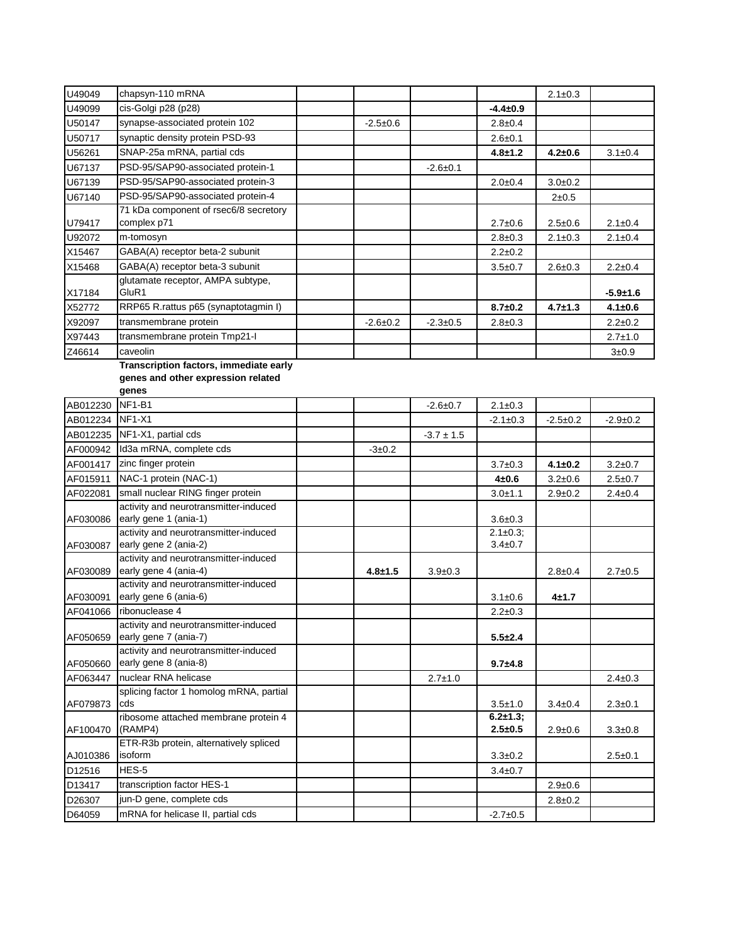| U49049   | chapsyn-110 mRNA                                                             |                |                |                                | $2.1 \pm 0.3$ |                |
|----------|------------------------------------------------------------------------------|----------------|----------------|--------------------------------|---------------|----------------|
| U49099   | cis-Golgi p28 (p28)                                                          |                |                | $-4.4 \pm 0.9$                 |               |                |
| U50147   | synapse-associated protein 102                                               | $-2.5+0.6$     |                | $2.8 \pm 0.4$                  |               |                |
| U50717   | synaptic density protein PSD-93                                              |                |                | $2.6 \pm 0.1$                  |               |                |
| U56261   | SNAP-25a mRNA, partial cds                                                   |                |                | $4.8 + 1.2$                    | $4.2 \pm 0.6$ | $3.1 \pm 0.4$  |
| U67137   | PSD-95/SAP90-associated protein-1                                            |                | $-2.6 \pm 0.1$ |                                |               |                |
| U67139   | PSD-95/SAP90-associated protein-3                                            |                |                | $2.0 + 0.4$                    | $3.0 + 0.2$   |                |
| U67140   | PSD-95/SAP90-associated protein-4                                            |                |                |                                | $2 + 0.5$     |                |
| U79417   | 71 kDa component of rsec6/8 secretory<br>complex p71                         |                |                | $2.7 \pm 0.6$                  | $2.5 \pm 0.6$ | $2.1 \pm 0.4$  |
| U92072   | m-tomosyn                                                                    |                |                | $2.8 \pm 0.3$                  | $2.1 \pm 0.3$ | $2.1 \pm 0.4$  |
| X15467   | GABA(A) receptor beta-2 subunit                                              |                |                | $2.2 \pm 0.2$                  |               |                |
| X15468   | GABA(A) receptor beta-3 subunit                                              |                |                | $3.5 + 0.7$                    | $2.6 \pm 0.3$ | $2.2 \pm 0.4$  |
|          | glutamate receptor, AMPA subtype,<br>GluR1                                   |                |                |                                |               |                |
| X17184   |                                                                              |                |                |                                |               | $-5.9 + 1.6$   |
| X52772   | RRP65 R.rattus p65 (synaptotagmin I)                                         |                |                | $8.7 \pm 0.2$                  | $4.7 \pm 1.3$ | $4.1 \pm 0.6$  |
| X92097   | transmembrane protein                                                        | $-2.6 \pm 0.2$ | $-2.3 \pm 0.5$ | $2.8 \pm 0.3$                  |               | $2.2 \pm 0.2$  |
| X97443   | transmembrane protein Tmp21-I                                                |                |                |                                |               | $2.7 \pm 1.0$  |
| Z46614   | caveolin                                                                     |                |                |                                |               | 3±0.9          |
|          | Transcription factors, immediate early<br>genes and other expression related |                |                |                                |               |                |
|          | genes                                                                        |                |                |                                |               |                |
| AB012230 | <b>NF1-B1</b>                                                                |                | $-2.6 \pm 0.7$ | $2.1 \pm 0.3$                  |               |                |
| AB012234 | <b>NF1-X1</b>                                                                |                |                | $-2.1 \pm 0.3$                 | $-2.5+0.2$    | $-2.9 \pm 0.2$ |
| AB012235 | NF1-X1, partial cds                                                          |                | $-3.7 \pm 1.5$ |                                |               |                |
| AF000942 | Id3a mRNA, complete cds                                                      | $-3 \pm 0.2$   |                |                                |               |                |
| AF001417 | zinc finger protein                                                          |                |                | $3.7 \pm 0.3$                  | $4.1 \pm 0.2$ | $3.2 \pm 0.7$  |
| AF015911 | NAC-1 protein (NAC-1)                                                        |                |                | $4 + 0.6$                      | $3.2 \pm 0.6$ | $2.5 \pm 0.7$  |
| AF022081 | small nuclear RING finger protein                                            |                |                | $3.0 + 1.1$                    | $2.9 \pm 0.2$ | $2.4 \pm 0.4$  |
|          | activity and neurotransmitter-induced                                        |                |                |                                |               |                |
| AF030086 | early gene 1 (ania-1)                                                        |                |                | $3.6 + 0.3$                    |               |                |
|          | activity and neurotransmitter-induced                                        |                |                | $2.1 \pm 0.3$ ;                |               |                |
| AF030087 | early gene 2 (ania-2)                                                        |                |                | $3.4 \pm 0.7$                  |               |                |
| AF030089 | activity and neurotransmitter-induced<br>early gene 4 (ania-4)               | $4.8 + 1.5$    | $3.9 + 0.3$    |                                | $2.8 + 0.4$   | $2.7 \pm 0.5$  |
|          | activity and neurotransmitter-induced                                        |                |                |                                |               |                |
| AF030091 | early gene 6 (ania-6)                                                        |                |                | $3.1 \pm 0.6$                  | 4±1.7         |                |
| AF041066 | ribonuclease 4                                                               |                |                | $2.2 \pm 0.3$                  |               |                |
|          | activity and neurotransmitter-induced                                        |                |                |                                |               |                |
| AF050659 | early gene 7 (ania-7)                                                        |                |                | $5.5 + 2.4$                    |               |                |
| AF050660 | activity and neurotransmitter-induced<br>early gene 8 (ania-8)               |                |                | $9.7 + 4.8$                    |               |                |
| AF063447 | nuclear RNA helicase                                                         |                | $2.7 \pm 1.0$  |                                |               | $2.4 \pm 0.3$  |
|          | splicing factor 1 homolog mRNA, partial                                      |                |                |                                |               |                |
| AF079873 | cds                                                                          |                |                | $3.5 \pm 1.0$                  | $3.4 \pm 0.4$ | $2.3 \pm 0.1$  |
| AF100470 | ribosome attached membrane protein 4<br>(RAMP4)                              |                |                | $6.2 \pm 1.3$ ;<br>$2.5 + 0.5$ | $2.9 \pm 0.6$ | $3.3 \pm 0.8$  |
| AJ010386 | ETR-R3b protein, alternatively spliced<br>isoform                            |                |                | $3.3 \pm 0.2$                  |               | $2.5 \pm 0.1$  |
| D12516   | HES-5                                                                        |                |                | $3.4 \pm 0.7$                  |               |                |
| D13417   | transcription factor HES-1                                                   |                |                |                                | $2.9 \pm 0.6$ |                |
| D26307   | jun-D gene, complete cds                                                     |                |                |                                | $2.8 \pm 0.2$ |                |
| D64059   | mRNA for helicase II, partial cds                                            |                |                | $-2.7 \pm 0.5$                 |               |                |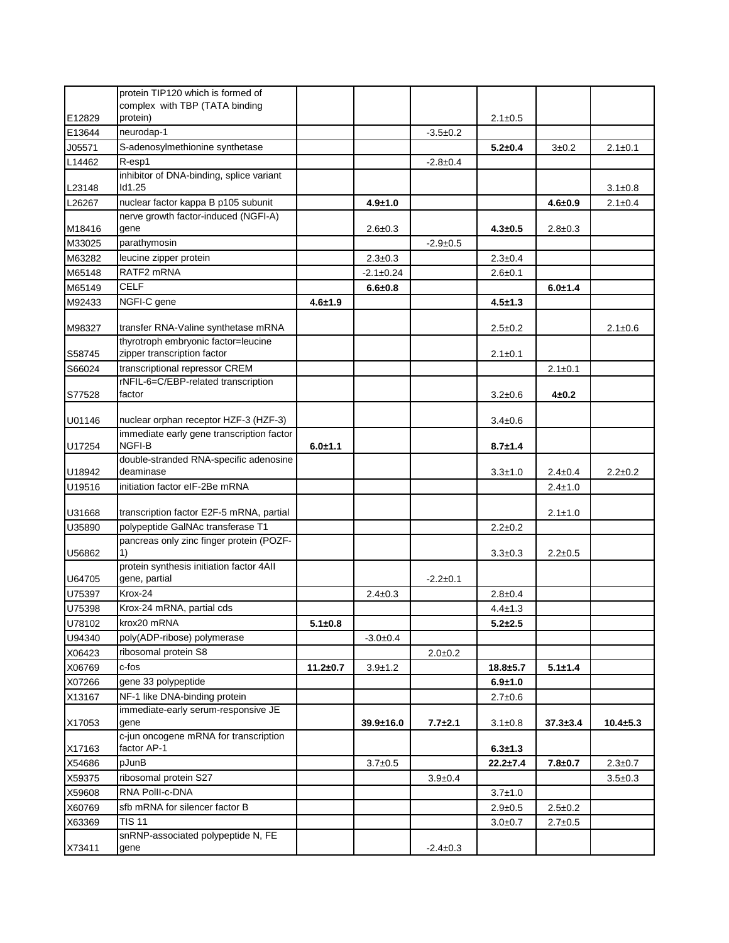|        | protein TIP120 which is formed of                   |                |                 |                |                |               |                |
|--------|-----------------------------------------------------|----------------|-----------------|----------------|----------------|---------------|----------------|
|        | complex with TBP (TATA binding                      |                |                 |                |                |               |                |
| E12829 | protein)                                            |                |                 |                | $2.1 \pm 0.5$  |               |                |
| E13644 | neurodap-1                                          |                |                 | $-3.5+0.2$     |                |               |                |
| J05571 | S-adenosylmethionine synthetase                     |                |                 |                | $5.2 + 0.4$    | 3±0.2         | $2.1 \pm 0.1$  |
| L14462 | R-esp1                                              |                |                 | $-2.8 \pm 0.4$ |                |               |                |
|        | inhibitor of DNA-binding, splice variant            |                |                 |                |                |               |                |
| L23148 | ld1.25                                              |                |                 |                |                |               | $3.1 \pm 0.8$  |
| L26267 | nuclear factor kappa B p105 subunit                 |                | $4.9 + 1.0$     |                |                | $4.6 + 0.9$   | $2.1 \pm 0.4$  |
|        | nerve growth factor-induced (NGFI-A)                |                |                 |                |                |               |                |
| M18416 | gene                                                |                | $2.6 \pm 0.3$   |                | $4.3 \pm 0.5$  | $2.8 \pm 0.3$ |                |
| M33025 | parathymosin                                        |                |                 | $-2.9+0.5$     |                |               |                |
| M63282 | leucine zipper protein                              |                | $2.3 \pm 0.3$   |                | $2.3 \pm 0.4$  |               |                |
| M65148 | RATF2 mRNA                                          |                | $-2.1 \pm 0.24$ |                | $2.6 + 0.1$    |               |                |
| M65149 | <b>CELF</b>                                         |                | $6.6 + 0.8$     |                |                | $6.0 + 1.4$   |                |
| M92433 | NGFI-C gene                                         | $4.6 + 1.9$    |                 |                | $4.5 + 1.3$    |               |                |
| M98327 | transfer RNA-Valine synthetase mRNA                 |                |                 |                | $2.5 \pm 0.2$  |               | $2.1 \pm 0.6$  |
|        | thyrotroph embryonic factor=leucine                 |                |                 |                |                |               |                |
| S58745 | zipper transcription factor                         |                |                 |                | $2.1 \pm 0.1$  |               |                |
| S66024 | transcriptional repressor CREM                      |                |                 |                |                | $2.1 \pm 0.1$ |                |
|        | rNFIL-6=C/EBP-related transcription                 |                |                 |                |                |               |                |
| S77528 | factor                                              |                |                 |                | $3.2 \pm 0.6$  | $4 + 0.2$     |                |
|        |                                                     |                |                 |                |                |               |                |
| U01146 | nuclear orphan receptor HZF-3 (HZF-3)               |                |                 |                | $3.4 \pm 0.6$  |               |                |
| U17254 | immediate early gene transcription factor<br>NGFI-B | $6.0 + 1.1$    |                 |                | $8.7 + 1.4$    |               |                |
|        | double-stranded RNA-specific adenosine              |                |                 |                |                |               |                |
| U18942 | deaminase                                           |                |                 |                | $3.3 \pm 1.0$  | $2.4 \pm 0.4$ | $2.2 \pm 0.2$  |
| U19516 | initiation factor eIF-2Be mRNA                      |                |                 |                |                | $2.4 \pm 1.0$ |                |
|        |                                                     |                |                 |                |                |               |                |
| U31668 | transcription factor E2F-5 mRNA, partial            |                |                 |                |                | $2.1 \pm 1.0$ |                |
| U35890 | polypeptide GalNAc transferase T1                   |                |                 |                | $2.2 \pm 0.2$  |               |                |
|        | pancreas only zinc finger protein (POZF-            |                |                 |                |                |               |                |
| U56862 | 1)<br>protein synthesis initiation factor 4All      |                |                 |                | $3.3 \pm 0.3$  | $2.2 \pm 0.5$ |                |
| U64705 | gene, partial                                       |                |                 | $-2.2 \pm 0.1$ |                |               |                |
| U75397 | Krox-24                                             |                | $2.4 \pm 0.3$   |                | $2.8 \pm 0.4$  |               |                |
| U75398 | Krox-24 mRNA, partial cds                           |                |                 |                | $4.4 \pm 1.3$  |               |                |
| U78102 | krox20 mRNA                                         | $5.1 + 0.8$    |                 |                | $5.2 + 2.5$    |               |                |
| U94340 | poly(ADP-ribose) polymerase                         |                | $-3.0+0.4$      |                |                |               |                |
| X06423 | ribosomal protein S8                                |                |                 | $2.0 + 0.2$    |                |               |                |
| X06769 | c-fos                                               | $11.2 \pm 0.7$ | $3.9 + 1.2$     |                | $18.8 + 5.7$   | $5.1 + 1.4$   |                |
| X07266 | gene 33 polypeptide                                 |                |                 |                | $6.9 + 1.0$    |               |                |
| X13167 | NF-1 like DNA-binding protein                       |                |                 |                | $2.7 \pm 0.6$  |               |                |
|        | immediate-early serum-responsive JE                 |                |                 |                |                |               |                |
| X17053 | gene                                                |                | $39.9 \pm 16.0$ | $7.7 + 2.1$    | $3.1 \pm 0.8$  | $37.3 + 3.4$  | $10.4 \pm 5.3$ |
|        | c-jun oncogene mRNA for transcription               |                |                 |                |                |               |                |
| X17163 | factor AP-1                                         |                |                 |                | $6.3 + 1.3$    |               |                |
| X54686 | pJunB                                               |                | $3.7 \pm 0.5$   |                | $22.2 \pm 7.4$ | $7.8 + 0.7$   | $2.3 \pm 0.7$  |
| X59375 | ribosomal protein S27                               |                |                 | $3.9 \pm 0.4$  |                |               | $3.5 \pm 0.3$  |
| X59608 | RNA Polli-c-DNA                                     |                |                 |                | 3.7±1.0        |               |                |
| X60769 | sfb mRNA for silencer factor B                      |                |                 |                | $2.9 + 0.5$    | $2.5 \pm 0.2$ |                |
| X63369 | TIS 11                                              |                |                 |                | 3.0±0.7        | 2.7±0.5       |                |
|        | snRNP-associated polypeptide N, FE                  |                |                 |                |                |               |                |
| X73411 | gene                                                |                |                 | $-2.4 \pm 0.3$ |                |               |                |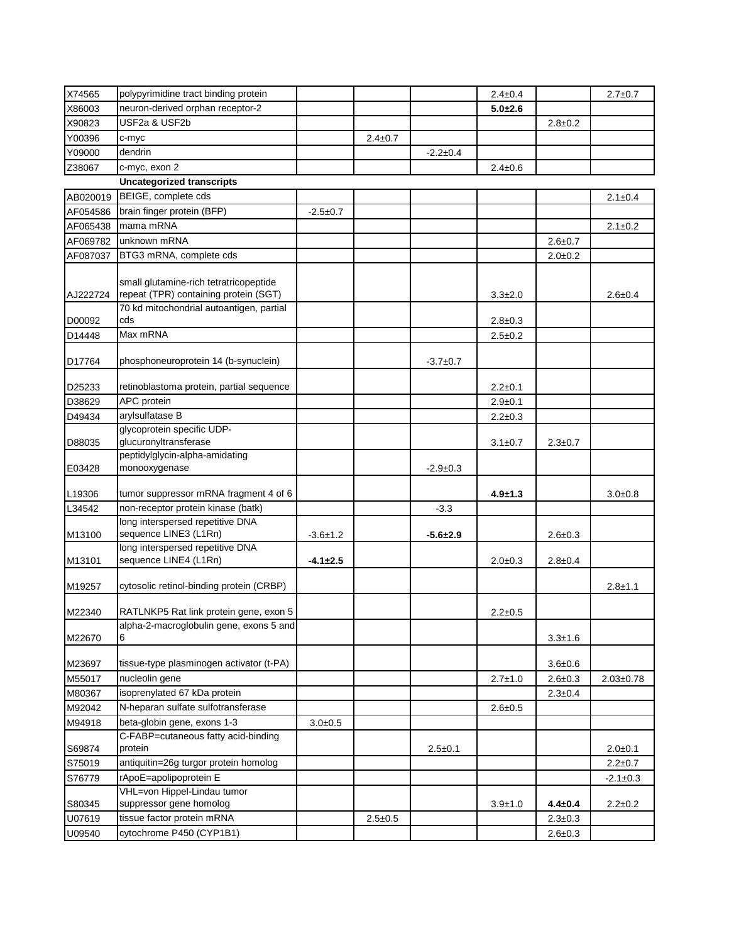| X74565   | polypyrimidine tract binding protein                                            |                |               |                | $2.4 \pm 0.4$ |               | $2.7 \pm 0.7$   |
|----------|---------------------------------------------------------------------------------|----------------|---------------|----------------|---------------|---------------|-----------------|
| X86003   | neuron-derived orphan receptor-2                                                |                |               |                | $5.0 + 2.6$   |               |                 |
| X90823   | USF2a & USF2b                                                                   |                |               |                |               | $2.8 \pm 0.2$ |                 |
| Y00396   | c-myc                                                                           |                | $2.4 \pm 0.7$ |                |               |               |                 |
| Y09000   | dendrin                                                                         |                |               | $-2.2 \pm 0.4$ |               |               |                 |
| Z38067   | c-myc, exon 2                                                                   |                |               |                | $2.4 \pm 0.6$ |               |                 |
|          | <b>Uncategorized transcripts</b>                                                |                |               |                |               |               |                 |
| AB020019 | BEIGE, complete cds                                                             |                |               |                |               |               | $2.1 \pm 0.4$   |
|          | brain finger protein (BFP)                                                      |                |               |                |               |               |                 |
| AF054586 | mama mRNA                                                                       | $-2.5+0.7$     |               |                |               |               |                 |
| AF065438 | unknown mRNA                                                                    |                |               |                |               |               | $2.1 \pm 0.2$   |
| AF069782 |                                                                                 |                |               |                |               | $2.6 \pm 0.7$ |                 |
| AF087037 | BTG3 mRNA, complete cds                                                         |                |               |                |               | $2.0 + 0.2$   |                 |
| AJ222724 | small glutamine-rich tetratricopeptide<br>repeat (TPR) containing protein (SGT) |                |               |                | $3.3 \pm 2.0$ |               | $2.6 + 0.4$     |
|          | 70 kd mitochondrial autoantigen, partial                                        |                |               |                |               |               |                 |
| D00092   | cds                                                                             |                |               |                | $2.8 \pm 0.3$ |               |                 |
| D14448   | Max mRNA                                                                        |                |               |                | $2.5 \pm 0.2$ |               |                 |
| D17764   | phosphoneuroprotein 14 (b-synuclein)                                            |                |               | $-3.7+0.7$     |               |               |                 |
| D25233   | retinoblastoma protein, partial sequence                                        |                |               |                | $2.2 \pm 0.1$ |               |                 |
| D38629   | APC protein                                                                     |                |               |                | $2.9 \pm 0.1$ |               |                 |
| D49434   | arylsulfatase B                                                                 |                |               |                | $2.2 \pm 0.3$ |               |                 |
|          | glycoprotein specific UDP-                                                      |                |               |                |               |               |                 |
| D88035   | glucuronyltransferase                                                           |                |               |                | $3.1 \pm 0.7$ | $2.3 \pm 0.7$ |                 |
|          | peptidylglycin-alpha-amidating                                                  |                |               |                |               |               |                 |
| E03428   | monooxygenase                                                                   |                |               | $-2.9+0.3$     |               |               |                 |
| L19306   | tumor suppressor mRNA fragment 4 of 6                                           |                |               |                | $4.9 \pm 1.3$ |               | $3.0 + 0.8$     |
| L34542   | non-receptor protein kinase (batk)                                              |                |               | $-3.3$         |               |               |                 |
|          | long interspersed repetitive DNA                                                |                |               |                |               |               |                 |
| M13100   | sequence LINE3 (L1Rn)                                                           | $-3.6 \pm 1.2$ |               | $-5.6 + 2.9$   |               | $2.6 \pm 0.3$ |                 |
|          | long interspersed repetitive DNA                                                |                |               |                |               |               |                 |
| M13101   | sequence LINE4 (L1Rn)                                                           | $-4.1 \pm 2.5$ |               |                | $2.0 + 0.3$   | $2.8 \pm 0.4$ |                 |
| M19257   | cytosolic retinol-binding protein (CRBP)                                        |                |               |                |               |               | $2.8 + 1.1$     |
| M22340   | RATLNKP5 Rat link protein gene, exon 5                                          |                |               |                | $2.2 \pm 0.5$ |               |                 |
| M22670   | alpha-2-macroglobulin gene, exons 5 and<br>6                                    |                |               |                |               | $3.3 + 1.6$   |                 |
|          |                                                                                 |                |               |                |               |               |                 |
| M23697   | tissue-type plasminogen activator (t-PA)                                        |                |               |                |               | $3.6 + 0.6$   |                 |
| M55017   | nucleolin gene                                                                  |                |               |                | $2.7 \pm 1.0$ | $2.6 \pm 0.3$ | $2.03 \pm 0.78$ |
| M80367   | isoprenylated 67 kDa protein                                                    |                |               |                |               | $2.3 \pm 0.4$ |                 |
| M92042   | N-heparan sulfate sulfotransferase                                              |                |               |                | $2.6 + 0.5$   |               |                 |
| M94918   | beta-globin gene, exons 1-3                                                     | $3.0 + 0.5$    |               |                |               |               |                 |
| S69874   | C-FABP=cutaneous fatty acid-binding<br>protein                                  |                |               | $2.5 \pm 0.1$  |               |               | $2.0 + 0.1$     |
| S75019   | antiquitin=26g turgor protein homolog                                           |                |               |                |               |               | $2.2 \pm 0.7$   |
| S76779   | rApoE=apolipoprotein E                                                          |                |               |                |               |               | $-2.1 \pm 0.3$  |
|          | VHL=von Hippel-Lindau tumor                                                     |                |               |                |               |               |                 |
| S80345   | suppressor gene homolog                                                         |                |               |                | $3.9 + 1.0$   | $4.4 \pm 0.4$ | $2.2 \pm 0.2$   |
| U07619   | tissue factor protein mRNA                                                      |                | $2.5 \pm 0.5$ |                |               | $2.3 \pm 0.3$ |                 |
| U09540   | cytochrome P450 (CYP1B1)                                                        |                |               |                |               | $2.6 \pm 0.3$ |                 |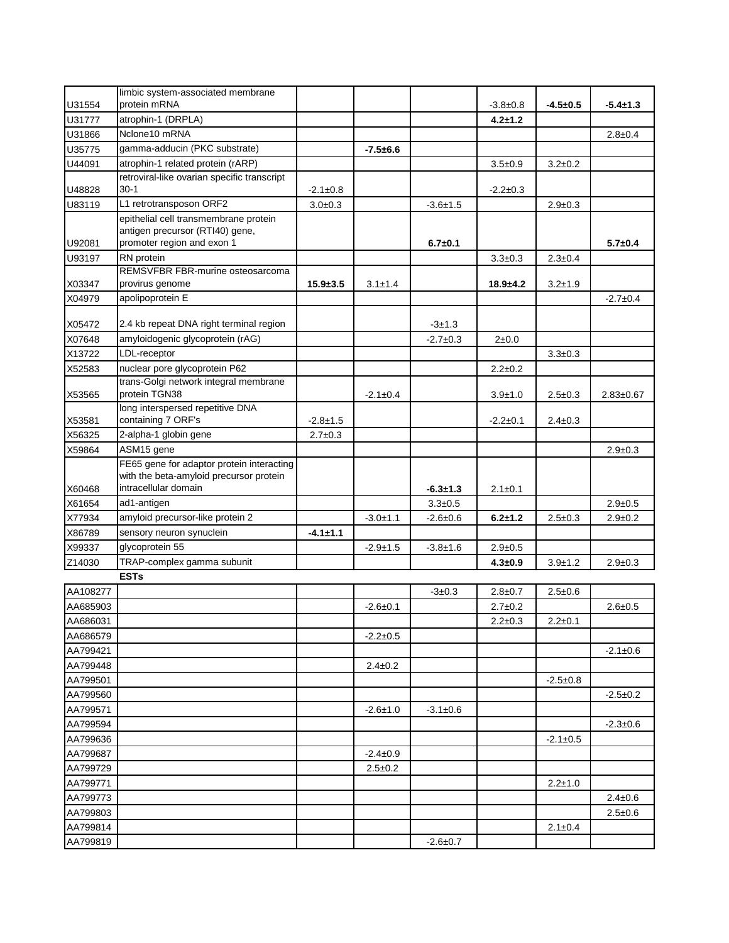|                      | limbic system-associated membrane                               |                |                |                |                |                |                 |
|----------------------|-----------------------------------------------------------------|----------------|----------------|----------------|----------------|----------------|-----------------|
| U31554               | protein mRNA                                                    |                |                |                | $-3.8 \pm 0.8$ | $-4.5+0.5$     | $-5.4 \pm 1.3$  |
| U31777               | atrophin-1 (DRPLA)                                              |                |                |                | $4.2 + 1.2$    |                |                 |
| U31866               | Nclone10 mRNA                                                   |                |                |                |                |                | $2.8 \pm 0.4$   |
| U35775               | gamma-adducin (PKC substrate)                                   |                | $-7.5 + 6.6$   |                |                |                |                 |
| U44091               | atrophin-1 related protein (rARP)                               |                |                |                | $3.5 + 0.9$    | $3.2 \pm 0.2$  |                 |
|                      | retroviral-like ovarian specific transcript                     |                |                |                |                |                |                 |
| U48828               | 30-1                                                            | $-2.1 \pm 0.8$ |                |                | $-2.2 \pm 0.3$ |                |                 |
| U83119               | L1 retrotransposon ORF2                                         | $3.0 + 0.3$    |                | $-3.6 + 1.5$   |                | $2.9 \pm 0.3$  |                 |
|                      | epithelial cell transmembrane protein                           |                |                |                |                |                |                 |
|                      | antigen precursor (RTI40) gene,<br>promoter region and exon 1   |                |                |                |                |                |                 |
| U92081<br>U93197     | RN protein                                                      |                |                | $6.7 + 0.1$    |                | $2.3 \pm 0.4$  | $5.7 \pm 0.4$   |
|                      | REMSVFBR FBR-murine osteosarcoma                                |                |                |                | $3.3 + 0.3$    |                |                 |
| X03347               | provirus genome                                                 | $15.9 + 3.5$   | $3.1 \pm 1.4$  |                | $18.9 + 4.2$   | $3.2 + 1.9$    |                 |
| X04979               | apolipoprotein E                                                |                |                |                |                |                | $-2.7+0.4$      |
|                      |                                                                 |                |                |                |                |                |                 |
| X05472               | 2.4 kb repeat DNA right terminal region                         |                |                | $-3+1.3$       |                |                |                 |
| X07648               | amyloidogenic glycoprotein (rAG)                                |                |                | $-2.7 \pm 0.3$ | $2\pm0.0$      |                |                 |
| X13722               | LDL-receptor                                                    |                |                |                |                | $3.3 \pm 0.3$  |                 |
| X52583               | nuclear pore glycoprotein P62                                   |                |                |                | $2.2 \pm 0.2$  |                |                 |
|                      | trans-Golgi network integral membrane                           |                |                |                |                |                |                 |
| X53565               | protein TGN38                                                   |                | $-2.1 \pm 0.4$ |                | $3.9 + 1.0$    | $2.5 \pm 0.3$  | $2.83 \pm 0.67$ |
|                      | long interspersed repetitive DNA                                |                |                |                |                |                |                 |
| X53581               | containing 7 ORF's                                              | $-2.8+1.5$     |                |                | $-2.2 \pm 0.1$ | $2.4 \pm 0.3$  |                 |
| X56325               | 2-alpha-1 globin gene                                           | $2.7 \pm 0.3$  |                |                |                |                |                 |
| X59864               | ASM15 gene                                                      |                |                |                |                |                | $2.9 \pm 0.3$   |
|                      | FE65 gene for adaptor protein interacting                       |                |                |                |                |                |                 |
| X60468               | with the beta-amyloid precursor protein<br>intracellular domain |                |                | $-6.3 + 1.3$   | $2.1 \pm 0.1$  |                |                 |
| X61654               | ad1-antigen                                                     |                |                | $3.3 \pm 0.5$  |                |                | $2.9 + 0.5$     |
| X77934               | amyloid precursor-like protein 2                                |                | $-3.0 + 1.1$   | $-2.6 \pm 0.6$ | $6.2 + 1.2$    | $2.5 \pm 0.3$  | $2.9 \pm 0.2$   |
| X86789               | sensory neuron synuclein                                        | $-4.1 \pm 1.1$ |                |                |                |                |                 |
| X99337               | glycoprotein 55                                                 |                | $-2.9 + 1.5$   | $-3.8 + 1.6$   | $2.9 + 0.5$    |                |                 |
| Z14030               | TRAP-complex gamma subunit                                      |                |                |                | $4.3 \pm 0.9$  | $3.9 + 1.2$    | $2.9 \pm 0.3$   |
|                      | <b>ESTs</b>                                                     |                |                |                |                |                |                 |
| AA108277             |                                                                 |                |                | $-3 \pm 0.3$   | $2.8 + 0.7$    | $2.5 \pm 0.6$  |                 |
| AA685903             |                                                                 |                | $-2.6 \pm 0.1$ |                | $2.7 \pm 0.2$  |                | $2.6 + 0.5$     |
| AA686031             |                                                                 |                |                |                | $2.2 \pm 0.3$  | $2.2 \pm 0.1$  |                 |
|                      |                                                                 |                |                |                |                |                |                 |
| AA686579             |                                                                 |                | $-2.2 \pm 0.5$ |                |                |                |                 |
| AA799421             |                                                                 |                | $2.4 \pm 0.2$  |                |                |                | $-2.1 \pm 0.6$  |
| AA799448<br>AA799501 |                                                                 |                |                |                |                |                |                 |
|                      |                                                                 |                |                |                |                | $-2.5+0.8$     |                 |
| AA799560             |                                                                 |                |                |                |                |                | $-2.5+0.2$      |
| AA799571             |                                                                 |                | $-2.6 \pm 1.0$ | $-3.1 \pm 0.6$ |                |                |                 |
| AA799594             |                                                                 |                |                |                |                |                | $-2.3 \pm 0.6$  |
| AA799636             |                                                                 |                |                |                |                | $-2.1 \pm 0.5$ |                 |
| AA799687             |                                                                 |                | $-2.4 \pm 0.9$ |                |                |                |                 |
| AA799729             |                                                                 |                | $2.5 \pm 0.2$  |                |                |                |                 |
| AA799771             |                                                                 |                |                |                |                | $2.2 \pm 1.0$  |                 |
| AA799773             |                                                                 |                |                |                |                |                | $2.4 \pm 0.6$   |
| AA799803             |                                                                 |                |                |                |                |                | $2.5 \pm 0.6$   |
| AA799814             |                                                                 |                |                |                |                | $2.1 \pm 0.4$  |                 |
| AA799819             |                                                                 |                |                | $-2.6 \pm 0.7$ |                |                |                 |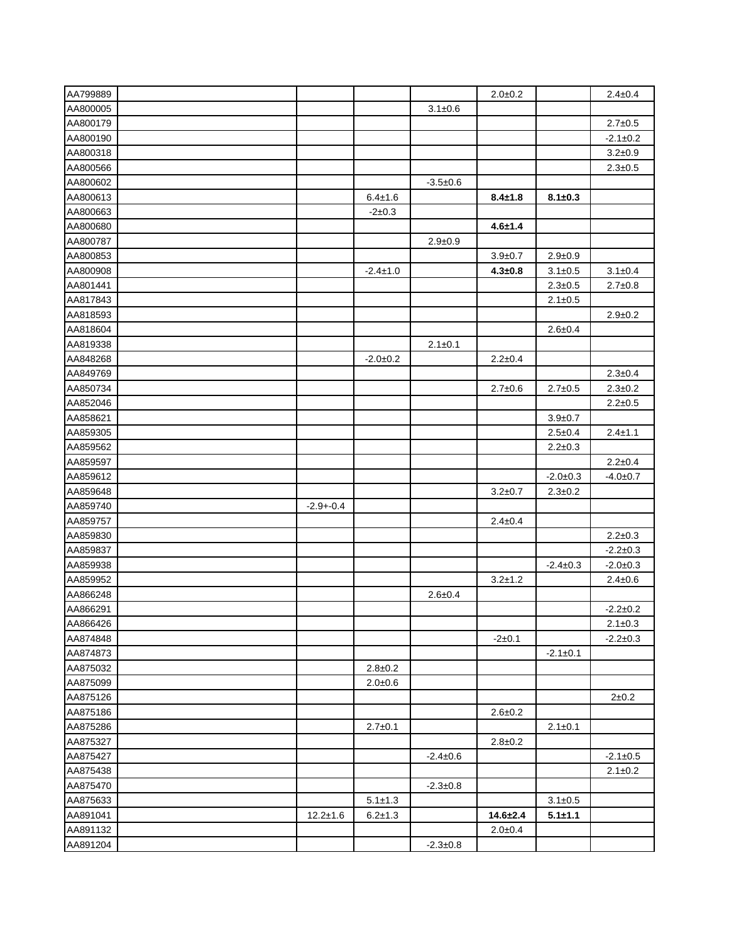| AA799889 |                |                |                | $2.0 + 0.2$    |                | $2.4 \pm 0.4$  |
|----------|----------------|----------------|----------------|----------------|----------------|----------------|
| AA800005 |                |                | $3.1 \pm 0.6$  |                |                |                |
| AA800179 |                |                |                |                |                | $2.7 \pm 0.5$  |
| AA800190 |                |                |                |                |                | $-2.1 \pm 0.2$ |
| AA800318 |                |                |                |                |                | $3.2 + 0.9$    |
| AA800566 |                |                |                |                |                | $2.3 \pm 0.5$  |
| AA800602 |                |                | $-3.5+0.6$     |                |                |                |
| AA800613 |                | $6.4 \pm 1.6$  |                | $8.4 \pm 1.8$  | $8.1 \pm 0.3$  |                |
| AA800663 |                | $-2+0.3$       |                |                |                |                |
| AA800680 |                |                |                | $4.6 + 1.4$    |                |                |
| AA800787 |                |                | $2.9 + 0.9$    |                |                |                |
| AA800853 |                |                |                | $3.9 + 0.7$    | $2.9 + 0.9$    |                |
| AA800908 |                | $-2.4 \pm 1.0$ |                | $4.3 \pm 0.8$  | $3.1 \pm 0.5$  | $3.1 \pm 0.4$  |
| AA801441 |                |                |                |                | $2.3 \pm 0.5$  | $2.7 \pm 0.8$  |
| AA817843 |                |                |                |                | $2.1 \pm 0.5$  |                |
| AA818593 |                |                |                |                |                | $2.9 + 0.2$    |
| AA818604 |                |                |                |                | $2.6 + 0.4$    |                |
| AA819338 |                |                | $2.1 \pm 0.1$  |                |                |                |
| AA848268 |                | $-2.0+0.2$     |                | $2.2 \pm 0.4$  |                |                |
| AA849769 |                |                |                |                |                | $2.3 \pm 0.4$  |
| AA850734 |                |                |                | $2.7 \pm 0.6$  | $2.7 \pm 0.5$  | $2.3 \pm 0.2$  |
| AA852046 |                |                |                |                |                | $2.2 \pm 0.5$  |
| AA858621 |                |                |                |                | $3.9 + 0.7$    |                |
| AA859305 |                |                |                |                | $2.5 \pm 0.4$  | $2.4 \pm 1.1$  |
| AA859562 |                |                |                |                | $2.2 \pm 0.3$  |                |
| AA859597 |                |                |                |                |                | $2.2 \pm 0.4$  |
| AA859612 |                |                |                |                | $-2.0+0.3$     | $-4.0 + 0.7$   |
| AA859648 |                |                |                | $3.2 \pm 0.7$  | $2.3 \pm 0.2$  |                |
| AA859740 | $-2.9 - 0.4$   |                |                |                |                |                |
| AA859757 |                |                |                | $2.4 \pm 0.4$  |                |                |
| AA859830 |                |                |                |                |                | $2.2 \pm 0.3$  |
| AA859837 |                |                |                |                |                | $-2.2 \pm 0.3$ |
| AA859938 |                |                |                |                | $-2.4 \pm 0.3$ | $-2.0 \pm 0.3$ |
| AA859952 |                |                |                | $3.2 \pm 1.2$  |                | $2.4 \pm 0.6$  |
| AA866248 |                |                | $2.6 + 0.4$    |                |                |                |
| AA866291 |                |                |                |                |                | -2.2±0.2       |
| AA866426 |                |                |                |                |                | $2.1 \pm 0.3$  |
| AA874848 |                |                |                | $-2+0.1$       |                | $-2.2 \pm 0.3$ |
| AA874873 |                |                |                |                | $-2.1 \pm 0.1$ |                |
| AA875032 |                | $2.8 \pm 0.2$  |                |                |                |                |
| AA875099 |                | $2.0 + 0.6$    |                |                |                |                |
| AA875126 |                |                |                |                |                | $2 + 0.2$      |
| AA875186 |                |                |                | $2.6 \pm 0.2$  |                |                |
| AA875286 |                | $2.7 \pm 0.1$  |                |                | $2.1 \pm 0.1$  |                |
| AA875327 |                |                |                | $2.8 \pm 0.2$  |                |                |
| AA875427 |                |                | $-2.4 \pm 0.6$ |                |                | $-2.1 \pm 0.5$ |
| AA875438 |                |                |                |                |                | $2.1 \pm 0.2$  |
| AA875470 |                |                | $-2.3 \pm 0.8$ |                |                |                |
| AA875633 |                | $5.1 \pm 1.3$  |                |                | $3.1 \pm 0.5$  |                |
| AA891041 | $12.2 \pm 1.6$ | $6.2 \pm 1.3$  |                | $14.6 \pm 2.4$ | $5.1 + 1.1$    |                |
| AA891132 |                |                |                | $2.0 + 0.4$    |                |                |
| AA891204 |                |                | $-2.3 \pm 0.8$ |                |                |                |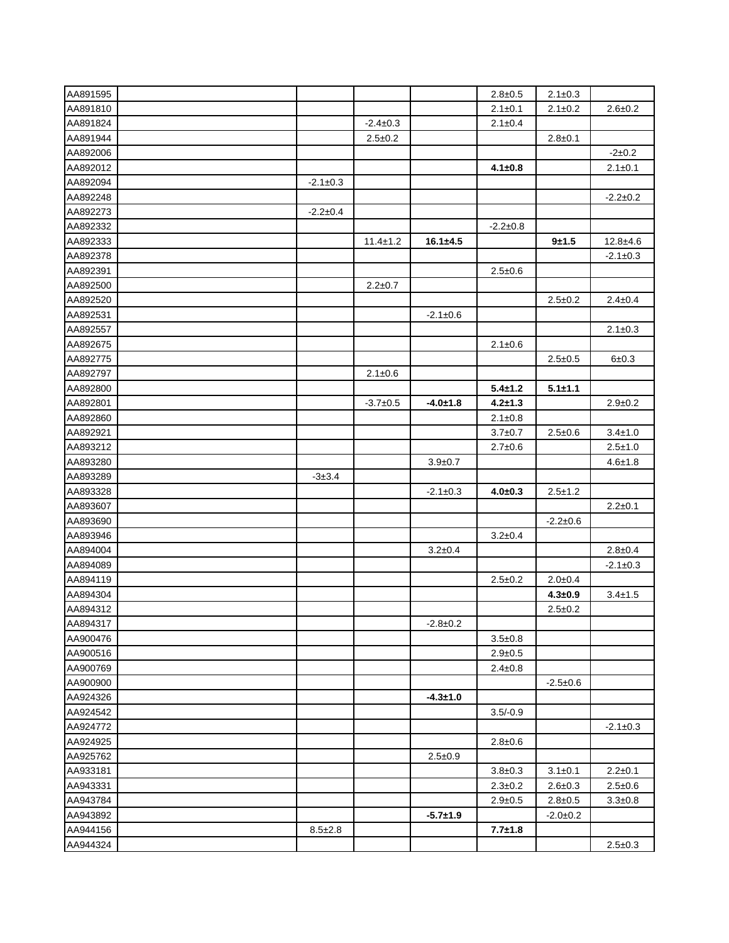| AA891595             |                |                |                | $2.8 \pm 0.5$  | $2.1 \pm 0.3$  |                |
|----------------------|----------------|----------------|----------------|----------------|----------------|----------------|
| AA891810             |                |                |                | $2.1 \pm 0.1$  | $2.1 \pm 0.2$  | $2.6 \pm 0.2$  |
| AA891824             |                | $-2.4 \pm 0.3$ |                | $2.1 \pm 0.4$  |                |                |
| AA891944             |                | $2.5 \pm 0.2$  |                |                | $2.8 \pm 0.1$  |                |
| AA892006             |                |                |                |                |                | $-2+0.2$       |
| AA892012             |                |                |                | $4.1 \pm 0.8$  |                | $2.1 \pm 0.1$  |
| AA892094             | $-2.1 \pm 0.3$ |                |                |                |                |                |
| AA892248             |                |                |                |                |                | $-2.2 \pm 0.2$ |
| AA892273             | $-2.2+0.4$     |                |                |                |                |                |
| AA892332             |                |                |                | $-2.2 \pm 0.8$ |                |                |
| AA892333             |                | $11.4 \pm 1.2$ | $16.1 \pm 4.5$ |                | $9 + 1.5$      | $12.8 + 4.6$   |
| AA892378             |                |                |                |                |                | $-2.1 \pm 0.3$ |
| AA892391             |                |                |                | $2.5 \pm 0.6$  |                |                |
| AA892500             |                | $2.2 \pm 0.7$  |                |                |                |                |
| AA892520             |                |                |                |                | $2.5 \pm 0.2$  | $2.4 \pm 0.4$  |
| AA892531             |                |                | $-2.1 \pm 0.6$ |                |                |                |
| AA892557             |                |                |                |                |                | $2.1 \pm 0.3$  |
| AA892675             |                |                |                | $2.1 \pm 0.6$  |                |                |
| AA892775             |                |                |                |                | $2.5 \pm 0.5$  | $6 + 0.3$      |
| AA892797             |                | $2.1 \pm 0.6$  |                |                |                |                |
| AA892800             |                |                |                | $5.4 \pm 1.2$  | $5.1 + 1.1$    |                |
| AA892801             |                | $-3.7+0.5$     | $-4.0 + 1.8$   | $4.2 + 1.3$    |                | $2.9 + 0.2$    |
| AA892860             |                |                |                | $2.1 \pm 0.8$  |                |                |
| AA892921             |                |                |                | $3.7 \pm 0.7$  | $2.5 \pm 0.6$  | $3.4 \pm 1.0$  |
| AA893212             |                |                |                | $2.7 \pm 0.6$  |                | $2.5 \pm 1.0$  |
| AA893280             |                |                | $3.9 + 0.7$    |                |                | $4.6 \pm 1.8$  |
| AA893289             | $-3 \pm 3.4$   |                |                |                |                |                |
| AA893328             |                |                | $-2.1 \pm 0.3$ | $4.0 + 0.3$    | $2.5 \pm 1.2$  |                |
| AA893607             |                |                |                |                |                | $2.2 \pm 0.1$  |
| AA893690             |                |                |                |                | $-2.2 \pm 0.6$ |                |
| AA893946             |                |                |                | $3.2 \pm 0.4$  |                |                |
| AA894004             |                |                | $3.2 \pm 0.4$  |                |                | $2.8 \pm 0.4$  |
| AA894089             |                |                |                |                |                | $-2.1 \pm 0.3$ |
| AA894119             |                |                |                | $2.5 \pm 0.2$  | $2.0 + 0.4$    |                |
| AA894304             |                |                |                |                | $4.3 + 0.9$    | $3.4 \pm 1.5$  |
| AA894312             |                |                |                |                | $2.5 \pm 0.2$  |                |
|                      |                |                |                |                |                |                |
| AA894317<br>AA900476 |                |                | $-2.8 \pm 0.2$ | $3.5 + 0.8$    |                |                |
| AA900516             |                |                |                | $2.9 + 0.5$    |                |                |
| AA900769             |                |                |                |                |                |                |
| AA900900             |                |                |                | $2.4 \pm 0.8$  | $-2.5+0.6$     |                |
| AA924326             |                |                | $-4.3 + 1.0$   |                |                |                |
| AA924542             |                |                |                |                |                |                |
|                      |                |                |                | $3.5/-0.9$     |                |                |
| AA924772             |                |                |                |                |                | $-2.1 \pm 0.3$ |
| AA924925             |                |                |                | $2.8 \pm 0.6$  |                |                |
| AA925762             |                |                | $2.5 + 0.9$    |                |                |                |
| AA933181             |                |                |                | $3.8 + 0.3$    | $3.1 \pm 0.1$  | $2.2 \pm 0.1$  |
| AA943331             |                |                |                | $2.3 \pm 0.2$  | $2.6 \pm 0.3$  | $2.5 \pm 0.6$  |
| AA943784             |                |                |                | $2.9 + 0.5$    | $2.8 \pm 0.5$  | $3.3 + 0.8$    |
| AA943892             |                |                | $-5.7 + 1.9$   |                | $-2.0 \pm 0.2$ |                |
| AA944156             | $8.5 \pm 2.8$  |                |                | $7.7 + 1.8$    |                |                |
| AA944324             |                |                |                |                |                | $2.5 \pm 0.3$  |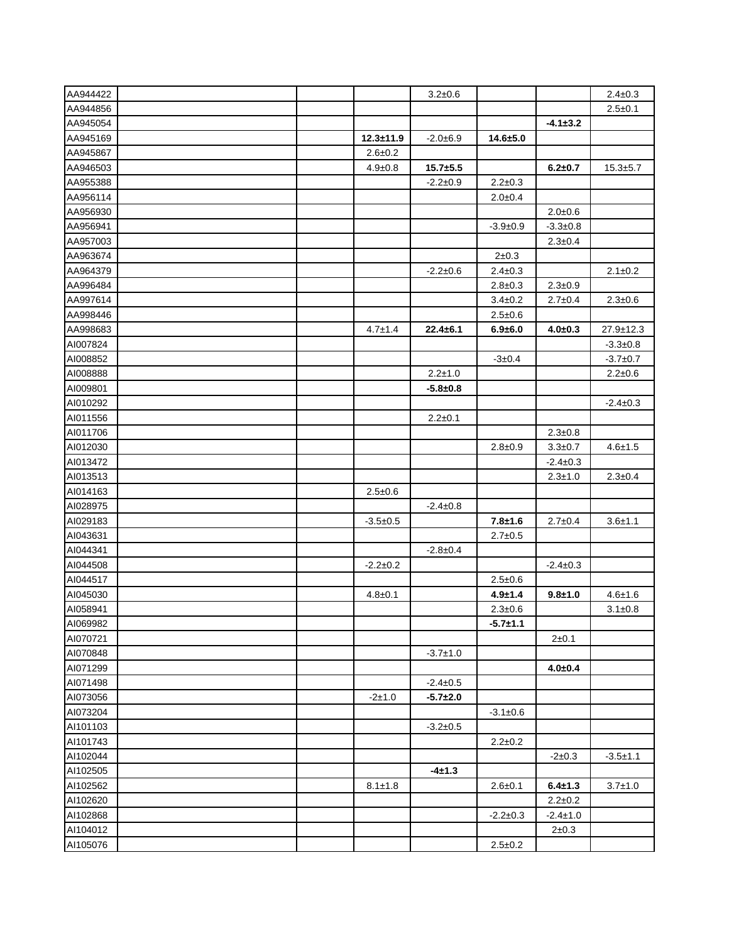| AA944422 |  |                | $3.2 \pm 0.6$  |                |                | $2.4 \pm 0.3$  |
|----------|--|----------------|----------------|----------------|----------------|----------------|
| AA944856 |  |                |                |                |                | $2.5 \pm 0.1$  |
| AA945054 |  |                |                |                | $-4.1 \pm 3.2$ |                |
| AA945169 |  | $12.3 + 11.9$  | $-2.0 + 6.9$   | $14.6 + 5.0$   |                |                |
| AA945867 |  | $2.6 \pm 0.2$  |                |                |                |                |
| AA946503 |  | $4.9 \pm 0.8$  | $15.7 + 5.5$   |                | $6.2 + 0.7$    | $15.3 \pm 5.7$ |
| AA955388 |  |                | $-2.2 \pm 0.9$ | $2.2 \pm 0.3$  |                |                |
| AA956114 |  |                |                | $2.0 + 0.4$    |                |                |
| AA956930 |  |                |                |                | $2.0 + 0.6$    |                |
| AA956941 |  |                |                | $-3.9+0.9$     | $-3.3 \pm 0.8$ |                |
| AA957003 |  |                |                |                | $2.3 \pm 0.4$  |                |
| AA963674 |  |                |                | $2 + 0.3$      |                |                |
| AA964379 |  |                | $-2.2 \pm 0.6$ | $2.4 \pm 0.3$  |                | $2.1 \pm 0.2$  |
| AA996484 |  |                |                | $2.8 \pm 0.3$  | $2.3 \pm 0.9$  |                |
| AA997614 |  |                |                | $3.4 \pm 0.2$  | $2.7 \pm 0.4$  | $2.3 \pm 0.6$  |
| AA998446 |  |                |                | $2.5 \pm 0.6$  |                |                |
| AA998683 |  | $4.7 \pm 1.4$  | $22.4 \pm 6.1$ | $6.9 + 6.0$    | $4.0 + 0.3$    | 27.9±12.3      |
| AI007824 |  |                |                |                |                | $-3.3 \pm 0.8$ |
| AI008852 |  |                |                | $-3 \pm 0.4$   |                | $-3.7+0.7$     |
| AI008888 |  |                | $2.2 \pm 1.0$  |                |                | $2.2 \pm 0.6$  |
| AI009801 |  |                | $-5.8 + 0.8$   |                |                |                |
| AI010292 |  |                |                |                |                | $-2.4 \pm 0.3$ |
| AI011556 |  |                | $2.2 \pm 0.1$  |                |                |                |
| AI011706 |  |                |                |                | $2.3 \pm 0.8$  |                |
| AI012030 |  |                |                | $2.8 \pm 0.9$  | $3.3 + 0.7$    | $4.6 \pm 1.5$  |
| AI013472 |  |                |                |                | $-2.4 \pm 0.3$ |                |
| AI013513 |  |                |                |                | $2.3 + 1.0$    | $2.3 \pm 0.4$  |
| AI014163 |  | $2.5 \pm 0.6$  |                |                |                |                |
| AI028975 |  |                | $-2.4 \pm 0.8$ |                |                |                |
| AI029183 |  | $-3.5+0.5$     |                | $7.8 + 1.6$    | $2.7 \pm 0.4$  | $3.6 + 1.1$    |
| AI043631 |  |                |                | $2.7 \pm 0.5$  |                |                |
| AI044341 |  |                | $-2.8 \pm 0.4$ |                |                |                |
| AI044508 |  | $-2.2 \pm 0.2$ |                |                | $-2.4 \pm 0.3$ |                |
| AI044517 |  |                |                | $2.5 \pm 0.6$  |                |                |
| AI045030 |  | $4.8 \pm 0.1$  |                | $4.9 + 1.4$    | $9.8 + 1.0$    | $4.6 \pm 1.6$  |
| AI058941 |  |                |                | $2.3 \pm 0.6$  |                | $3.1 \pm 0.8$  |
| AI069982 |  |                |                | $-5.7 + 1.1$   |                |                |
| AI070721 |  |                |                |                | $2 + 0.1$      |                |
| AI070848 |  |                | $-3.7 \pm 1.0$ |                |                |                |
| AI071299 |  |                |                |                | $4.0 + 0.4$    |                |
| AI071498 |  |                | $-2.4 \pm 0.5$ |                |                |                |
| AI073056 |  | $-2+1.0$       | $-5.7 + 2.0$   |                |                |                |
| AI073204 |  |                |                | $-3.1 \pm 0.6$ |                |                |
| AI101103 |  |                | $-3.2 \pm 0.5$ |                |                |                |
| AI101743 |  |                |                | $2.2 \pm 0.2$  |                |                |
| AI102044 |  |                |                |                | $-2+0.3$       | $-3.5 \pm 1.1$ |
| AI102505 |  |                | $-4+1.3$       |                |                |                |
| AI102562 |  | $8.1 \pm 1.8$  |                | $2.6 + 0.1$    | $6.4 \pm 1.3$  | $3.7 \pm 1.0$  |
| AI102620 |  |                |                |                | $2.2 \pm 0.2$  |                |
| AI102868 |  |                |                | $-2.2 \pm 0.3$ | $-2.4 \pm 1.0$ |                |
| AI104012 |  |                |                |                | $2 \pm 0.3$    |                |
| AI105076 |  |                |                | $2.5 \pm 0.2$  |                |                |
|          |  |                |                |                |                |                |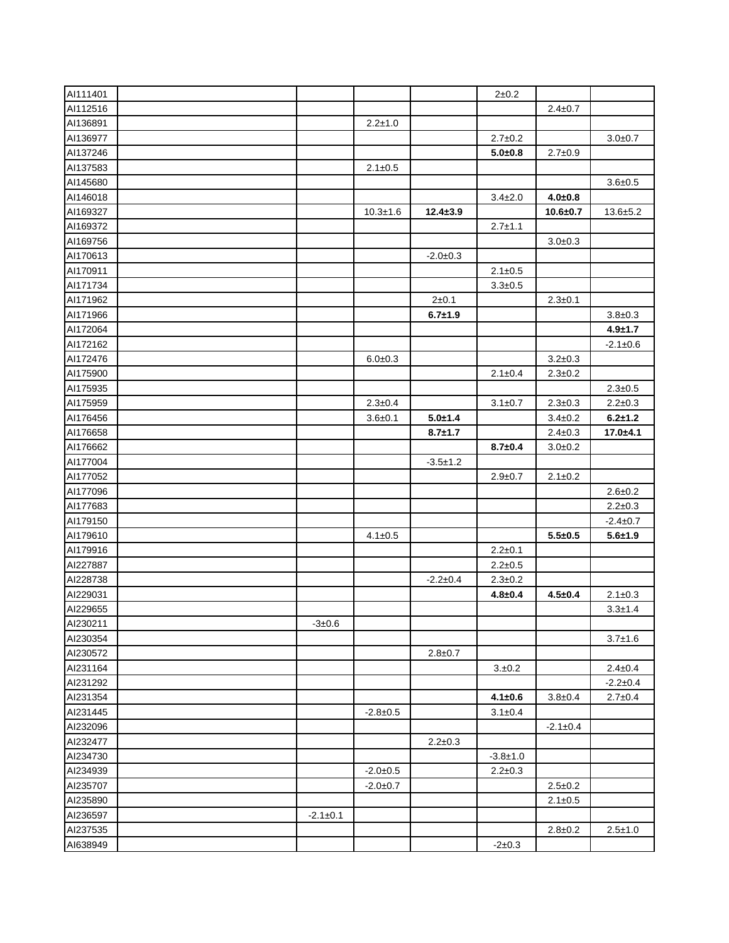| AI111401 |                |                |                | $2 + 0.2$      |                |                |
|----------|----------------|----------------|----------------|----------------|----------------|----------------|
| AI112516 |                |                |                |                | $2.4 \pm 0.7$  |                |
| AI136891 |                | $2.2 + 1.0$    |                |                |                |                |
| AI136977 |                |                |                | $2.7 \pm 0.2$  |                | $3.0 + 0.7$    |
| AI137246 |                |                |                | $5.0 + 0.8$    | $2.7 \pm 0.9$  |                |
| AI137583 |                | $2.1 \pm 0.5$  |                |                |                |                |
| AI145680 |                |                |                |                |                | $3.6 + 0.5$    |
| AI146018 |                |                |                | $3.4 \pm 2.0$  | $4.0 + 0.8$    |                |
| AI169327 |                | $10.3 + 1.6$   | $12.4 \pm 3.9$ |                | $10.6 + 0.7$   | $13.6 + 5.2$   |
| AI169372 |                |                |                | $2.7 \pm 1.1$  |                |                |
| AI169756 |                |                |                |                | $3.0+0.3$      |                |
| AI170613 |                |                | $-2.0 \pm 0.3$ |                |                |                |
| AI170911 |                |                |                | $2.1 \pm 0.5$  |                |                |
| AI171734 |                |                |                | $3.3 + 0.5$    |                |                |
| AI171962 |                |                | $2 + 0.1$      |                | $2.3 \pm 0.1$  |                |
| AI171966 |                |                | $6.7 + 1.9$    |                |                | $3.8 + 0.3$    |
| AI172064 |                |                |                |                |                | $4.9 + 1.7$    |
| AI172162 |                |                |                |                |                | $-2.1 \pm 0.6$ |
| AI172476 |                | $6.0 + 0.3$    |                |                | $3.2 \pm 0.3$  |                |
| AI175900 |                |                |                | $2.1 \pm 0.4$  | $2.3 \pm 0.2$  |                |
| AI175935 |                |                |                |                |                | $2.3 \pm 0.5$  |
| AI175959 |                | $2.3 \pm 0.4$  |                | $3.1 \pm 0.7$  | $2.3 + 0.3$    | $2.2 \pm 0.3$  |
| AI176456 |                | $3.6 + 0.1$    | $5.0 + 1.4$    |                | $3.4 \pm 0.2$  | $6.2 + 1.2$    |
| AI176658 |                |                | $8.7 + 1.7$    |                | $2.4 \pm 0.3$  | $17.0 + 4.1$   |
| AI176662 |                |                |                | $8.7 + 0.4$    | $3.0 + 0.2$    |                |
| AI177004 |                |                | $-3.5 \pm 1.2$ |                |                |                |
| AI177052 |                |                |                | $2.9 \pm 0.7$  | $2.1 \pm 0.2$  |                |
| AI177096 |                |                |                |                |                | $2.6 + 0.2$    |
| AI177683 |                |                |                |                |                | $2.2 \pm 0.3$  |
| AI179150 |                |                |                |                |                | $-2.4 \pm 0.7$ |
| AI179610 |                | $4.1 \pm 0.5$  |                |                | $5.5 + 0.5$    | $5.6 + 1.9$    |
| AI179916 |                |                |                | $2.2 \pm 0.1$  |                |                |
| AI227887 |                |                |                | $2.2 \pm 0.5$  |                |                |
| Al228738 |                |                | $-2.2 \pm 0.4$ | $2.3 \pm 0.2$  |                |                |
| AI229031 |                |                |                | $4.8 + 0.4$    | $4.5 \pm 0.4$  | $2.1 \pm 0.3$  |
| AI229655 |                |                |                |                |                | $3.3 \pm 1.4$  |
| AI230211 | $-3 \pm 0.6$   |                |                |                |                |                |
| AI230354 |                |                |                |                |                | $3.7 \pm 1.6$  |
| AI230572 |                |                | $2.8 \pm 0.7$  |                |                |                |
| Al231164 |                |                |                | 3.±0.2         |                | $2.4 \pm 0.4$  |
| AI231292 |                |                |                |                |                | $-2.2 \pm 0.4$ |
| AI231354 |                |                |                | $4.1 \pm 0.6$  | $3.8 + 0.4$    | $2.7 \pm 0.4$  |
| AI231445 |                | $-2.8 \pm 0.5$ |                | $3.1 \pm 0.4$  |                |                |
| AI232096 |                |                |                |                | $-2.1 \pm 0.4$ |                |
| Al232477 |                |                | $2.2 \pm 0.3$  |                |                |                |
| Al234730 |                |                |                | $-3.8 \pm 1.0$ |                |                |
| AI234939 |                | $-2.0 \pm 0.5$ |                | $2.2 \pm 0.3$  |                |                |
| AI235707 |                | $-2.0 \pm 0.7$ |                |                | $2.5 \pm 0.2$  |                |
| Al235890 |                |                |                |                | $2.1 \pm 0.5$  |                |
| AI236597 | $-2.1 \pm 0.1$ |                |                |                |                |                |
| Al237535 |                |                |                |                | $2.8 \pm 0.2$  | $2.5 \pm 1.0$  |
| AI638949 |                |                |                | $-2+0.3$       |                |                |
|          |                |                |                |                |                |                |